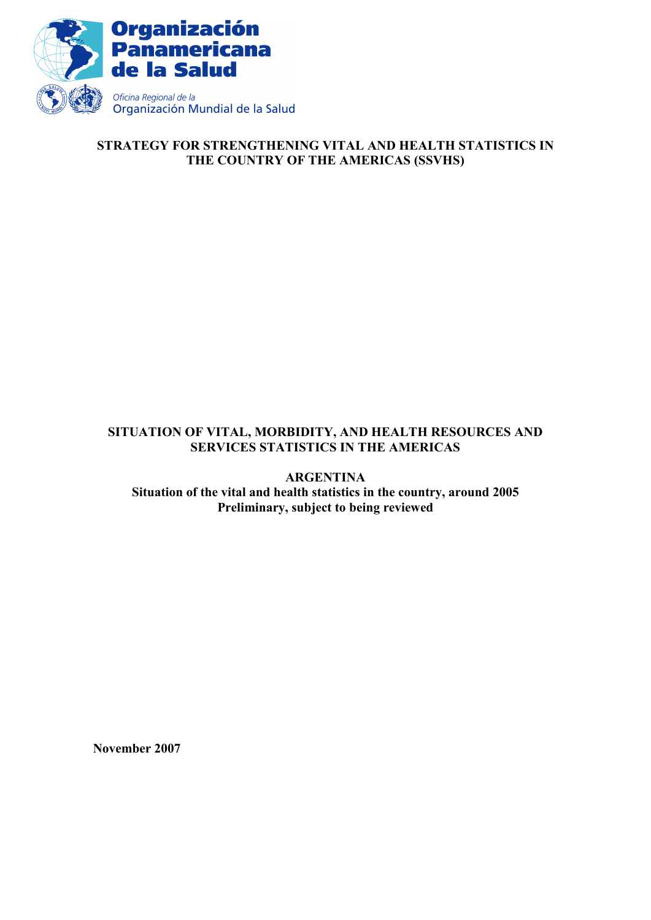

# **STRATEGY FOR STRENGTHENING VITAL AND HEALTH STATISTICS IN THE COUNTRY OF THE AMERICAS (SSVHS)**

# **SITUATION OF VITAL, MORBIDITY, AND HEALTH RESOURCES AND SERVICES STATISTICS IN THE AMERICAS**

**ARGENTINA Situation of the vital and health statistics in the country, around 2005 Preliminary, subject to being reviewed** 

**November 2007**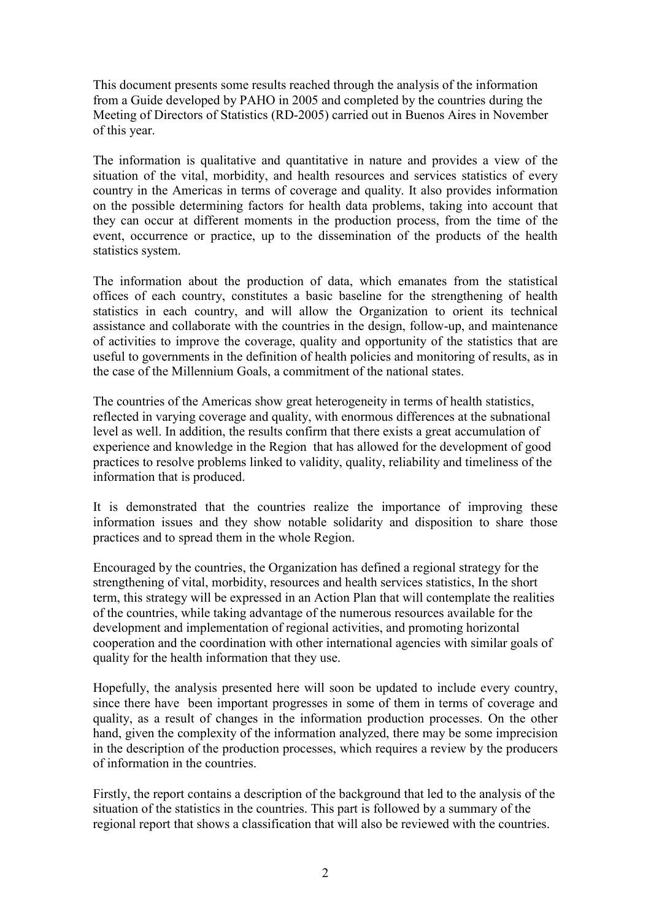This document presents some results reached through the analysis of the information from a Guide developed by PAHO in 2005 and completed by the countries during the Meeting of Directors of Statistics (RD-2005) carried out in Buenos Aires in November of this year.

The information is qualitative and quantitative in nature and provides a view of the situation of the vital, morbidity, and health resources and services statistics of every country in the Americas in terms of coverage and quality. It also provides information on the possible determining factors for health data problems, taking into account that they can occur at different moments in the production process, from the time of the event, occurrence or practice, up to the dissemination of the products of the health statistics system.

The information about the production of data, which emanates from the statistical offices of each country, constitutes a basic baseline for the strengthening of health statistics in each country, and will allow the Organization to orient its technical assistance and collaborate with the countries in the design, follow-up, and maintenance of activities to improve the coverage, quality and opportunity of the statistics that are useful to governments in the definition of health policies and monitoring of results, as in the case of the Millennium Goals, a commitment of the national states.

The countries of the Americas show great heterogeneity in terms of health statistics, reflected in varying coverage and quality, with enormous differences at the subnational level as well. In addition, the results confirm that there exists a great accumulation of experience and knowledge in the Region that has allowed for the development of good practices to resolve problems linked to validity, quality, reliability and timeliness of the information that is produced.

It is demonstrated that the countries realize the importance of improving these information issues and they show notable solidarity and disposition to share those practices and to spread them in the whole Region.

Encouraged by the countries, the Organization has defined a regional strategy for the strengthening of vital, morbidity, resources and health services statistics, In the short term, this strategy will be expressed in an Action Plan that will contemplate the realities of the countries, while taking advantage of the numerous resources available for the development and implementation of regional activities, and promoting horizontal cooperation and the coordination with other international agencies with similar goals of quality for the health information that they use.

Hopefully, the analysis presented here will soon be updated to include every country, since there have been important progresses in some of them in terms of coverage and quality, as a result of changes in the information production processes. On the other hand, given the complexity of the information analyzed, there may be some imprecision in the description of the production processes, which requires a review by the producers of information in the countries.

Firstly, the report contains a description of the background that led to the analysis of the situation of the statistics in the countries. This part is followed by a summary of the regional report that shows a classification that will also be reviewed with the countries.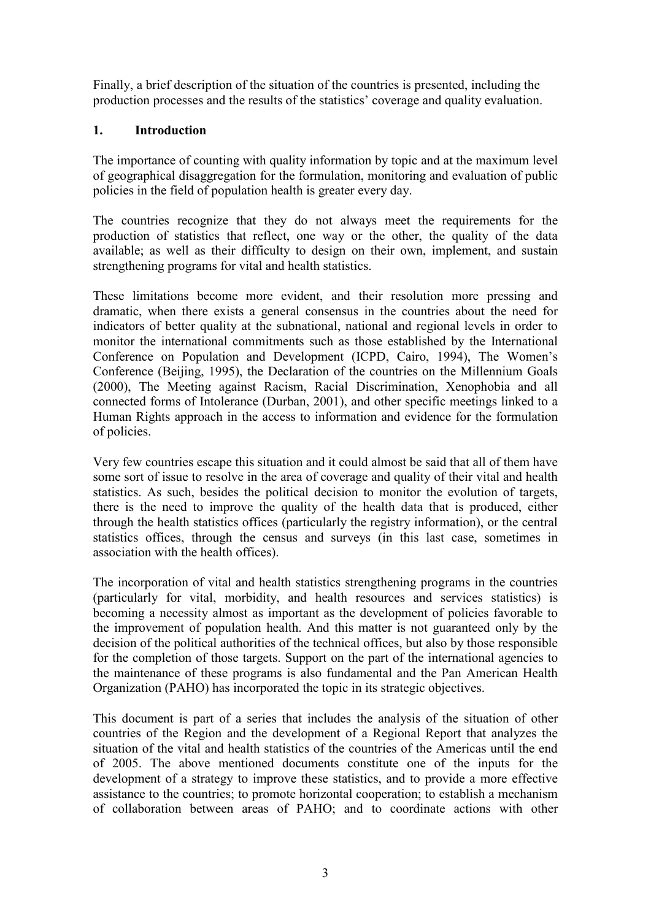Finally, a brief description of the situation of the countries is presented, including the production processes and the results of the statistics' coverage and quality evaluation.

# **1. Introduction**

The importance of counting with quality information by topic and at the maximum level of geographical disaggregation for the formulation, monitoring and evaluation of public policies in the field of population health is greater every day.

The countries recognize that they do not always meet the requirements for the production of statistics that reflect, one way or the other, the quality of the data available; as well as their difficulty to design on their own, implement, and sustain strengthening programs for vital and health statistics.

These limitations become more evident, and their resolution more pressing and dramatic, when there exists a general consensus in the countries about the need for indicators of better quality at the subnational, national and regional levels in order to monitor the international commitments such as those established by the International Conference on Population and Development (ICPD, Cairo, 1994), The Women's Conference (Beijing, 1995), the Declaration of the countries on the Millennium Goals (2000), The Meeting against Racism, Racial Discrimination, Xenophobia and all connected forms of Intolerance (Durban, 2001), and other specific meetings linked to a Human Rights approach in the access to information and evidence for the formulation of policies.

Very few countries escape this situation and it could almost be said that all of them have some sort of issue to resolve in the area of coverage and quality of their vital and health statistics. As such, besides the political decision to monitor the evolution of targets, there is the need to improve the quality of the health data that is produced, either through the health statistics offices (particularly the registry information), or the central statistics offices, through the census and surveys (in this last case, sometimes in association with the health offices).

The incorporation of vital and health statistics strengthening programs in the countries (particularly for vital, morbidity, and health resources and services statistics) is becoming a necessity almost as important as the development of policies favorable to the improvement of population health. And this matter is not guaranteed only by the decision of the political authorities of the technical offices, but also by those responsible for the completion of those targets. Support on the part of the international agencies to the maintenance of these programs is also fundamental and the Pan American Health Organization (PAHO) has incorporated the topic in its strategic objectives.

This document is part of a series that includes the analysis of the situation of other countries of the Region and the development of a Regional Report that analyzes the situation of the vital and health statistics of the countries of the Americas until the end of 2005. The above mentioned documents constitute one of the inputs for the development of a strategy to improve these statistics, and to provide a more effective assistance to the countries; to promote horizontal cooperation; to establish a mechanism of collaboration between areas of PAHO; and to coordinate actions with other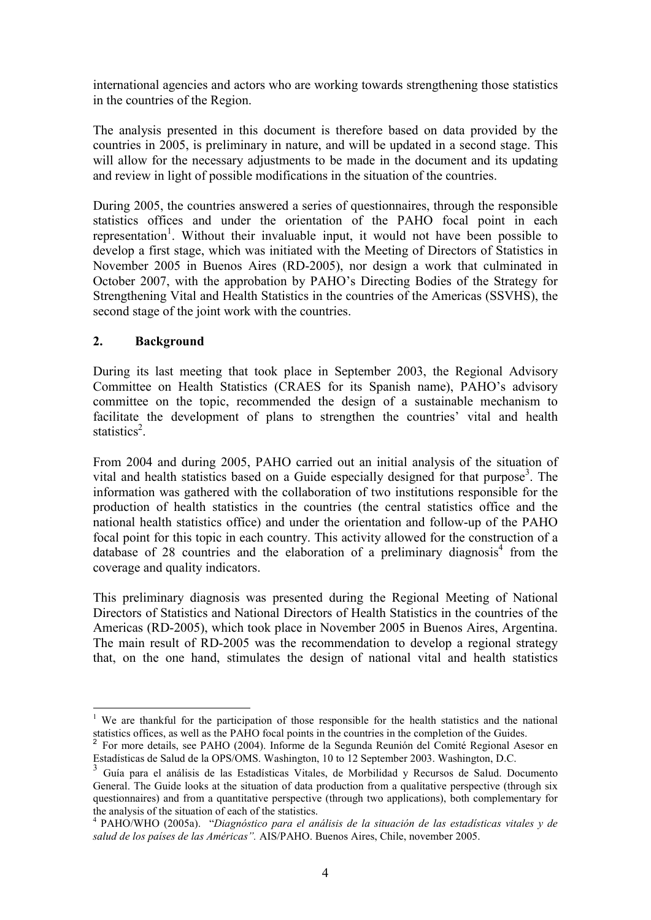international agencies and actors who are working towards strengthening those statistics in the countries of the Region.

The analysis presented in this document is therefore based on data provided by the countries in 2005, is preliminary in nature, and will be updated in a second stage. This will allow for the necessary adjustments to be made in the document and its updating and review in light of possible modifications in the situation of the countries.

During 2005, the countries answered a series of questionnaires, through the responsible statistics offices and under the orientation of the PAHO focal point in each representation<sup>1</sup>. Without their invaluable input, it would not have been possible to develop a first stage, which was initiated with the Meeting of Directors of Statistics in November 2005 in Buenos Aires (RD-2005), nor design a work that culminated in October 2007, with the approbation by PAHO's Directing Bodies of the Strategy for Strengthening Vital and Health Statistics in the countries of the Americas (SSVHS), the second stage of the joint work with the countries.

# **2. Background**

<u>.</u>

During its last meeting that took place in September 2003, the Regional Advisory Committee on Health Statistics (CRAES for its Spanish name), PAHO's advisory committee on the topic, recommended the design of a sustainable mechanism to facilitate the development of plans to strengthen the countries' vital and health statistics<sup>2</sup>.

From 2004 and during 2005, PAHO carried out an initial analysis of the situation of vital and health statistics based on a Guide especially designed for that purpose<sup>3</sup>. The information was gathered with the collaboration of two institutions responsible for the production of health statistics in the countries (the central statistics office and the national health statistics office) and under the orientation and follow-up of the PAHO focal point for this topic in each country. This activity allowed for the construction of a database of 28 countries and the elaboration of a preliminary diagnosis<sup>4</sup> from the coverage and quality indicators.

This preliminary diagnosis was presented during the Regional Meeting of National Directors of Statistics and National Directors of Health Statistics in the countries of the Americas (RD-2005), which took place in November 2005 in Buenos Aires, Argentina. The main result of RD-2005 was the recommendation to develop a regional strategy that, on the one hand, stimulates the design of national vital and health statistics

<sup>&</sup>lt;sup>1</sup> We are thankful for the participation of those responsible for the health statistics and the national statistics offices, as well as the PAHO focal points in the countries in the completion of the Guides.

<sup>&</sup>lt;sup>2</sup> For more details, see PAHO (2004). Informe de la Segunda Reunión del Comité Regional Asesor en Estadísticas de Salud de la OPS/OMS. Washington, 10 to 12 September 2003. Washington, D.C.

<sup>3</sup> Guía para el análisis de las Estadísticas Vitales, de Morbilidad y Recursos de Salud. Documento General. The Guide looks at the situation of data production from a qualitative perspective (through six questionnaires) and from a quantitative perspective (through two applications), both complementary for the analysis of the situation of each of the statistics.

<sup>4</sup> PAHO/WHO (2005a). "*Diagnóstico para el análisis de la situación de las estadísticas vitales y de salud de los países de las Américas".* AIS/PAHO. Buenos Aires, Chile, november 2005.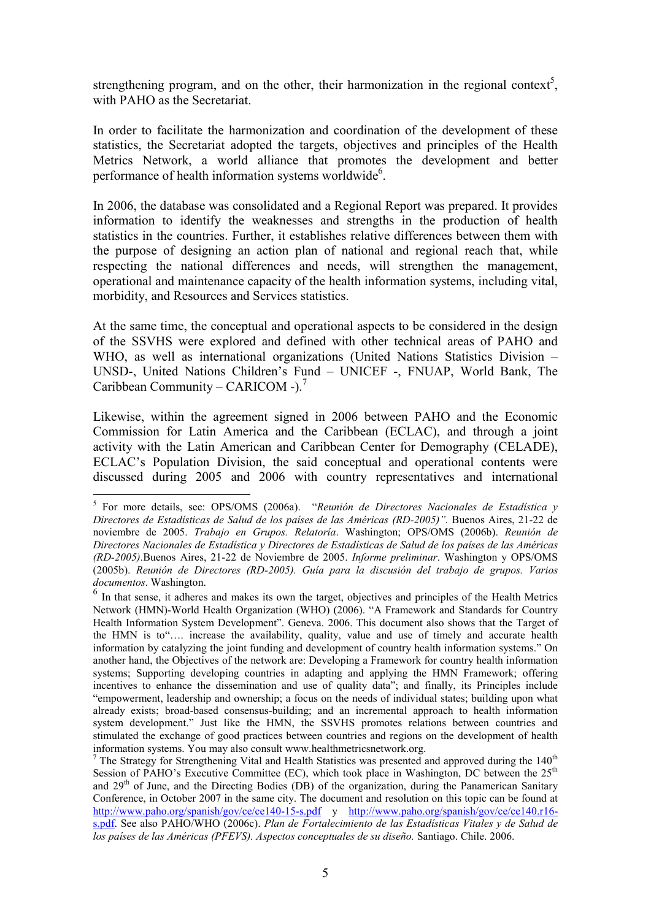strengthening program, and on the other, their harmonization in the regional context<sup>5</sup>, with PAHO as the Secretariat.

In order to facilitate the harmonization and coordination of the development of these statistics, the Secretariat adopted the targets, objectives and principles of the Health Metrics Network, a world alliance that promotes the development and better performance of health information systems worldwide<sup>6</sup>.

In 2006, the database was consolidated and a Regional Report was prepared. It provides information to identify the weaknesses and strengths in the production of health statistics in the countries. Further, it establishes relative differences between them with the purpose of designing an action plan of national and regional reach that, while respecting the national differences and needs, will strengthen the management, operational and maintenance capacity of the health information systems, including vital, morbidity, and Resources and Services statistics.

At the same time, the conceptual and operational aspects to be considered in the design of the SSVHS were explored and defined with other technical areas of PAHO and WHO, as well as international organizations (United Nations Statistics Division – UNSD-, United Nations Children's Fund – UNICEF -, FNUAP, World Bank, The Caribbean Community – CARICOM -).<sup>7</sup>

Likewise, within the agreement signed in 2006 between PAHO and the Economic Commission for Latin America and the Caribbean (ECLAC), and through a joint activity with the Latin American and Caribbean Center for Demography (CELADE), ECLAC's Population Division, the said conceptual and operational contents were discussed during 2005 and 2006 with country representatives and international

-

<sup>5</sup> For more details, see: OPS/OMS (2006a). "*Reunión de Directores Nacionales de Estadística y Directores de Estadísticas de Salud de los países de las Américas (RD-2005)".* Buenos Aires, 21-22 de noviembre de 2005. *Trabajo en Grupos. Relatoría*. Washington; OPS/OMS (2006b). *Reunión de Directores Nacionales de Estadística y Directores de Estadísticas de Salud de los países de las Américas (RD-2005)*.Buenos Aires, 21-22 de Noviembre de 2005. *Informe preliminar*. Washington y OPS/OMS (2005b). *Reunión de Directores (RD-2005). Guía para la discusión del trabajo de grupos. Varios documentos*. Washington.

<sup>&</sup>lt;sup>6</sup> In that sense, it adheres and makes its own the target, objectives and principles of the Health Metrics Network (HMN)-World Health Organization (WHO) (2006). "A Framework and Standards for Country Health Information System Development". Geneva. 2006. This document also shows that the Target of the HMN is to"…. increase the availability, quality, value and use of timely and accurate health information by catalyzing the joint funding and development of country health information systems." On another hand, the Objectives of the network are: Developing a Framework for country health information systems; Supporting developing countries in adapting and applying the HMN Framework; offering incentives to enhance the dissemination and use of quality data"; and finally, its Principles include "empowerment, leadership and ownership; a focus on the needs of individual states; building upon what already exists; broad-based consensus-building; and an incremental approach to health information system development." Just like the HMN, the SSVHS promotes relations between countries and stimulated the exchange of good practices between countries and regions on the development of health information systems. You may also consult www.healthmetricsnetwork.org.

<sup>&</sup>lt;sup>7</sup> The Strategy for Strengthening Vital and Health Statistics was presented and approved during the  $140<sup>th</sup>$ Session of PAHO's Executive Committee (EC), which took place in Washington, DC between the 25<sup>th</sup> and  $29<sup>th</sup>$  of June, and the Directing Bodies (DB) of the organization, during the Panamerican Sanitary Conference, in October 2007 in the same city. The document and resolution on this topic can be found at http://www.paho.org/spanish/gov/ce/ce140-15-s.pdf y http://www.paho.org/spanish/gov/ce/ce140.r16s.pdf. See also PAHO/WHO (2006c). *Plan de Fortalecimiento de las Estadísticas Vitales y de Salud de los países de las Américas (PFEVS). Aspectos conceptuales de su diseño.* Santiago. Chile. 2006.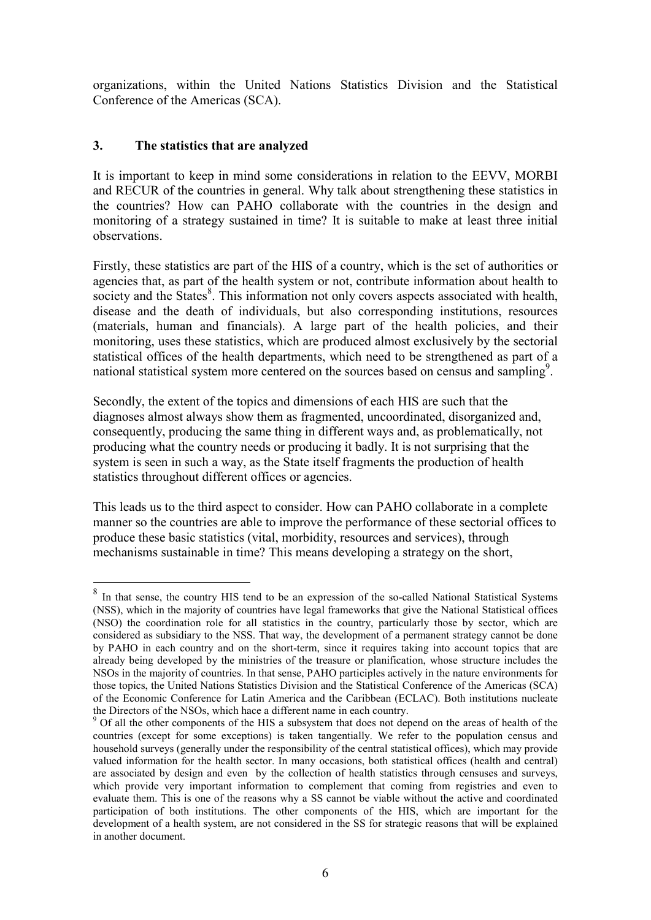organizations, within the United Nations Statistics Division and the Statistical Conference of the Americas (SCA).

# **3. The statistics that are analyzed**

-

It is important to keep in mind some considerations in relation to the EEVV, MORBI and RECUR of the countries in general. Why talk about strengthening these statistics in the countries? How can PAHO collaborate with the countries in the design and monitoring of a strategy sustained in time? It is suitable to make at least three initial observations.

Firstly, these statistics are part of the HIS of a country, which is the set of authorities or agencies that, as part of the health system or not, contribute information about health to society and the States<sup>8</sup>. This information not only covers aspects associated with health, disease and the death of individuals, but also corresponding institutions, resources (materials, human and financials). A large part of the health policies, and their monitoring, uses these statistics, which are produced almost exclusively by the sectorial statistical offices of the health departments, which need to be strengthened as part of a national statistical system more centered on the sources based on census and sampling<sup>9</sup>.

Secondly, the extent of the topics and dimensions of each HIS are such that the diagnoses almost always show them as fragmented, uncoordinated, disorganized and, consequently, producing the same thing in different ways and, as problematically, not producing what the country needs or producing it badly. It is not surprising that the system is seen in such a way, as the State itself fragments the production of health statistics throughout different offices or agencies.

This leads us to the third aspect to consider. How can PAHO collaborate in a complete manner so the countries are able to improve the performance of these sectorial offices to produce these basic statistics (vital, morbidity, resources and services), through mechanisms sustainable in time? This means developing a strategy on the short,

<sup>&</sup>lt;sup>8</sup> In that sense, the country HIS tend to be an expression of the so-called National Statistical Systems (NSS), which in the majority of countries have legal frameworks that give the National Statistical offices (NSO) the coordination role for all statistics in the country, particularly those by sector, which are considered as subsidiary to the NSS. That way, the development of a permanent strategy cannot be done by PAHO in each country and on the short-term, since it requires taking into account topics that are already being developed by the ministries of the treasure or planification, whose structure includes the NSOs in the majority of countries. In that sense, PAHO participles actively in the nature environments for those topics, the United Nations Statistics Division and the Statistical Conference of the Americas (SCA) of the Economic Conference for Latin America and the Caribbean (ECLAC). Both institutions nucleate the Directors of the NSOs, which hace a different name in each country.

<sup>&</sup>lt;sup>9</sup> Of all the other components of the HIS a subsystem that does not depend on the areas of health of the countries (except for some exceptions) is taken tangentially. We refer to the population census and household surveys (generally under the responsibility of the central statistical offices), which may provide valued information for the health sector. In many occasions, both statistical offices (health and central) are associated by design and even by the collection of health statistics through censuses and surveys, which provide very important information to complement that coming from registries and even to evaluate them. This is one of the reasons why a SS cannot be viable without the active and coordinated participation of both institutions. The other components of the HIS, which are important for the development of a health system, are not considered in the SS for strategic reasons that will be explained in another document.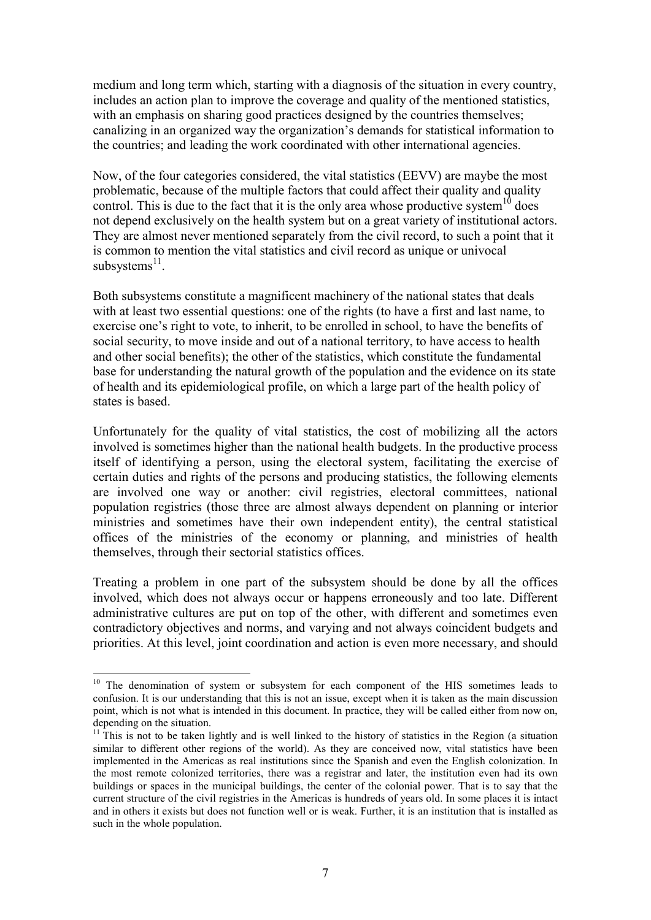medium and long term which, starting with a diagnosis of the situation in every country, includes an action plan to improve the coverage and quality of the mentioned statistics, with an emphasis on sharing good practices designed by the countries themselves; canalizing in an organized way the organization's demands for statistical information to the countries; and leading the work coordinated with other international agencies.

Now, of the four categories considered, the vital statistics (EEVV) are maybe the most problematic, because of the multiple factors that could affect their quality and quality control. This is due to the fact that it is the only area whose productive system<sup>10</sup> does not depend exclusively on the health system but on a great variety of institutional actors. They are almost never mentioned separately from the civil record, to such a point that it is common to mention the vital statistics and civil record as unique or univocal subsystems<sup>11</sup>.

Both subsystems constitute a magnificent machinery of the national states that deals with at least two essential questions: one of the rights (to have a first and last name, to exercise one's right to vote, to inherit, to be enrolled in school, to have the benefits of social security, to move inside and out of a national territory, to have access to health and other social benefits); the other of the statistics, which constitute the fundamental base for understanding the natural growth of the population and the evidence on its state of health and its epidemiological profile, on which a large part of the health policy of states is based.

Unfortunately for the quality of vital statistics, the cost of mobilizing all the actors involved is sometimes higher than the national health budgets. In the productive process itself of identifying a person, using the electoral system, facilitating the exercise of certain duties and rights of the persons and producing statistics, the following elements are involved one way or another: civil registries, electoral committees, national population registries (those three are almost always dependent on planning or interior ministries and sometimes have their own independent entity), the central statistical offices of the ministries of the economy or planning, and ministries of health themselves, through their sectorial statistics offices.

Treating a problem in one part of the subsystem should be done by all the offices involved, which does not always occur or happens erroneously and too late. Different administrative cultures are put on top of the other, with different and sometimes even contradictory objectives and norms, and varying and not always coincident budgets and priorities. At this level, joint coordination and action is even more necessary, and should

<u>.</u>

<sup>&</sup>lt;sup>10</sup> The denomination of system or subsystem for each component of the HIS sometimes leads to confusion. It is our understanding that this is not an issue, except when it is taken as the main discussion point, which is not what is intended in this document. In practice, they will be called either from now on, depending on the situation.

 $11$ <sup>11</sup>This is not to be taken lightly and is well linked to the history of statistics in the Region (a situation similar to different other regions of the world). As they are conceived now, vital statistics have been implemented in the Americas as real institutions since the Spanish and even the English colonization. In the most remote colonized territories, there was a registrar and later, the institution even had its own buildings or spaces in the municipal buildings, the center of the colonial power. That is to say that the current structure of the civil registries in the Americas is hundreds of years old. In some places it is intact and in others it exists but does not function well or is weak. Further, it is an institution that is installed as such in the whole population.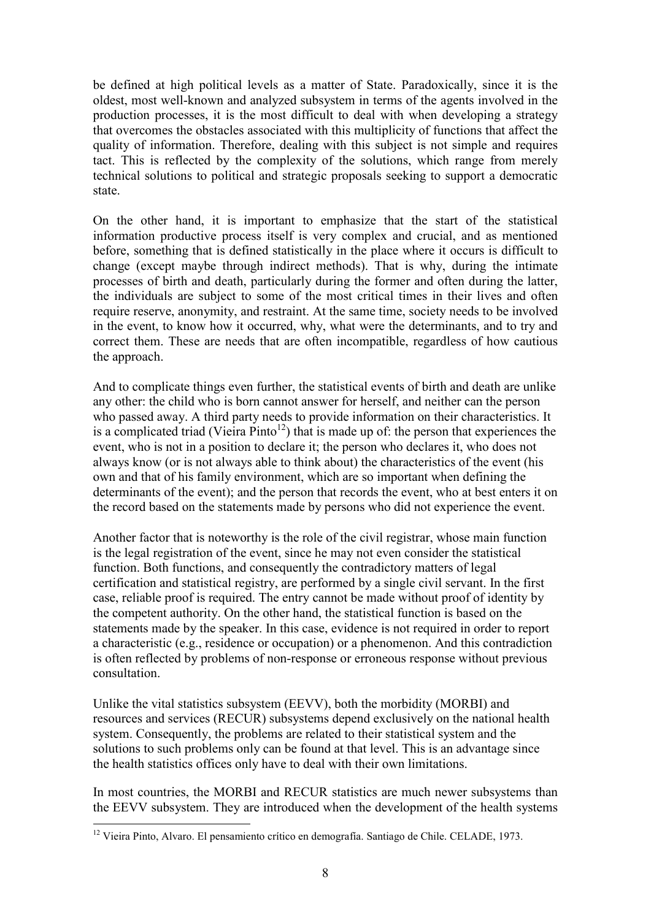be defined at high political levels as a matter of State. Paradoxically, since it is the oldest, most well-known and analyzed subsystem in terms of the agents involved in the production processes, it is the most difficult to deal with when developing a strategy that overcomes the obstacles associated with this multiplicity of functions that affect the quality of information. Therefore, dealing with this subject is not simple and requires tact. This is reflected by the complexity of the solutions, which range from merely technical solutions to political and strategic proposals seeking to support a democratic state.

On the other hand, it is important to emphasize that the start of the statistical information productive process itself is very complex and crucial, and as mentioned before, something that is defined statistically in the place where it occurs is difficult to change (except maybe through indirect methods). That is why, during the intimate processes of birth and death, particularly during the former and often during the latter, the individuals are subject to some of the most critical times in their lives and often require reserve, anonymity, and restraint. At the same time, society needs to be involved in the event, to know how it occurred, why, what were the determinants, and to try and correct them. These are needs that are often incompatible, regardless of how cautious the approach.

And to complicate things even further, the statistical events of birth and death are unlike any other: the child who is born cannot answer for herself, and neither can the person who passed away. A third party needs to provide information on their characteristics. It is a complicated triad (Vieira Pinto<sup>12</sup>) that is made up of: the person that experiences the event, who is not in a position to declare it; the person who declares it, who does not always know (or is not always able to think about) the characteristics of the event (his own and that of his family environment, which are so important when defining the determinants of the event); and the person that records the event, who at best enters it on the record based on the statements made by persons who did not experience the event.

Another factor that is noteworthy is the role of the civil registrar, whose main function is the legal registration of the event, since he may not even consider the statistical function. Both functions, and consequently the contradictory matters of legal certification and statistical registry, are performed by a single civil servant. In the first case, reliable proof is required. The entry cannot be made without proof of identity by the competent authority. On the other hand, the statistical function is based on the statements made by the speaker. In this case, evidence is not required in order to report a characteristic (e.g., residence or occupation) or a phenomenon. And this contradiction is often reflected by problems of non-response or erroneous response without previous consultation.

Unlike the vital statistics subsystem (EEVV), both the morbidity (MORBI) and resources and services (RECUR) subsystems depend exclusively on the national health system. Consequently, the problems are related to their statistical system and the solutions to such problems only can be found at that level. This is an advantage since the health statistics offices only have to deal with their own limitations.

In most countries, the MORBI and RECUR statistics are much newer subsystems than the EEVV subsystem. They are introduced when the development of the health systems

<sup>1</sup> <sup>12</sup> Vieira Pinto, Alvaro. El pensamiento crítico en demografía. Santiago de Chile. CELADE, 1973.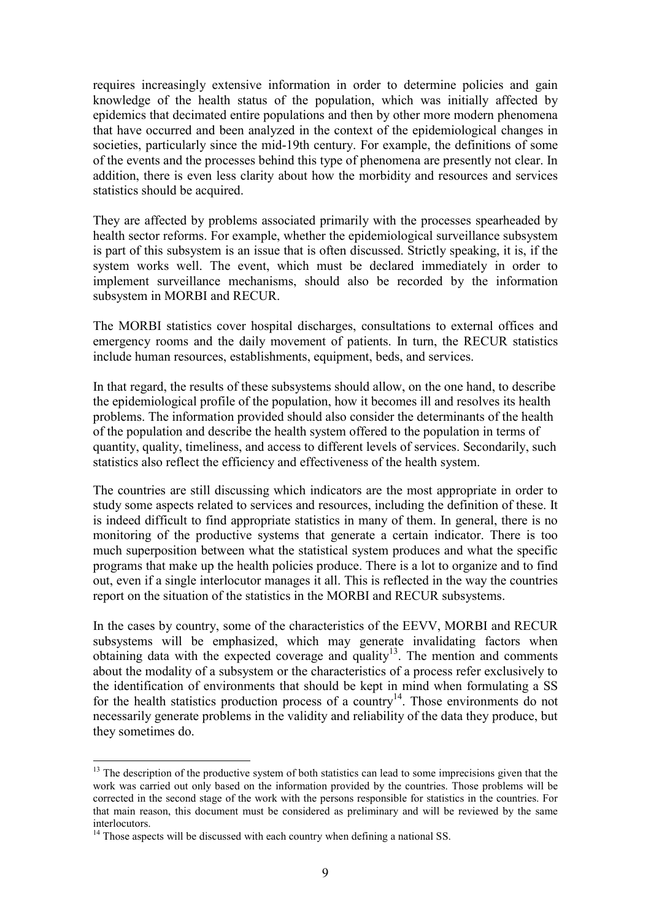requires increasingly extensive information in order to determine policies and gain knowledge of the health status of the population, which was initially affected by epidemics that decimated entire populations and then by other more modern phenomena that have occurred and been analyzed in the context of the epidemiological changes in societies, particularly since the mid-19th century. For example, the definitions of some of the events and the processes behind this type of phenomena are presently not clear. In addition, there is even less clarity about how the morbidity and resources and services statistics should be acquired.

They are affected by problems associated primarily with the processes spearheaded by health sector reforms. For example, whether the epidemiological surveillance subsystem is part of this subsystem is an issue that is often discussed. Strictly speaking, it is, if the system works well. The event, which must be declared immediately in order to implement surveillance mechanisms, should also be recorded by the information subsystem in MORBI and RECUR.

The MORBI statistics cover hospital discharges, consultations to external offices and emergency rooms and the daily movement of patients. In turn, the RECUR statistics include human resources, establishments, equipment, beds, and services.

In that regard, the results of these subsystems should allow, on the one hand, to describe the epidemiological profile of the population, how it becomes ill and resolves its health problems. The information provided should also consider the determinants of the health of the population and describe the health system offered to the population in terms of quantity, quality, timeliness, and access to different levels of services. Secondarily, such statistics also reflect the efficiency and effectiveness of the health system.

The countries are still discussing which indicators are the most appropriate in order to study some aspects related to services and resources, including the definition of these. It is indeed difficult to find appropriate statistics in many of them. In general, there is no monitoring of the productive systems that generate a certain indicator. There is too much superposition between what the statistical system produces and what the specific programs that make up the health policies produce. There is a lot to organize and to find out, even if a single interlocutor manages it all. This is reflected in the way the countries report on the situation of the statistics in the MORBI and RECUR subsystems.

In the cases by country, some of the characteristics of the EEVV, MORBI and RECUR subsystems will be emphasized, which may generate invalidating factors when obtaining data with the expected coverage and quality<sup>13</sup>. The mention and comments about the modality of a subsystem or the characteristics of a process refer exclusively to the identification of environments that should be kept in mind when formulating a SS for the health statistics production process of a country<sup>14</sup>. Those environments do not necessarily generate problems in the validity and reliability of the data they produce, but they sometimes do.

<sup>-</sup><sup>13</sup> The description of the productive system of both statistics can lead to some imprecisions given that the work was carried out only based on the information provided by the countries. Those problems will be corrected in the second stage of the work with the persons responsible for statistics in the countries. For that main reason, this document must be considered as preliminary and will be reviewed by the same interlocutors.

 $14$  Those aspects will be discussed with each country when defining a national SS.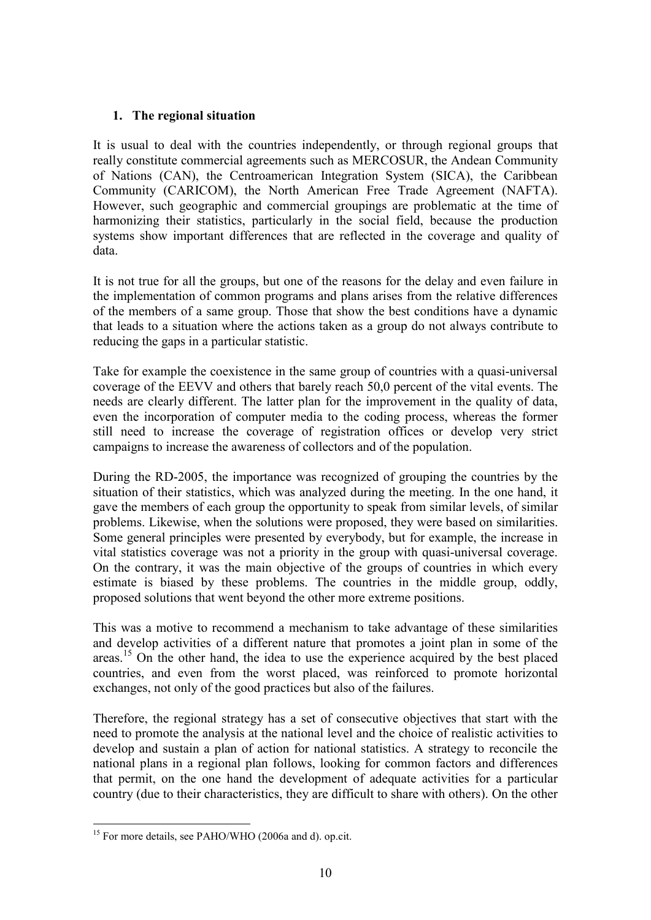# **1. The regional situation**

It is usual to deal with the countries independently, or through regional groups that really constitute commercial agreements such as MERCOSUR, the Andean Community of Nations (CAN), the Centroamerican Integration System (SICA), the Caribbean Community (CARICOM), the North American Free Trade Agreement (NAFTA). However, such geographic and commercial groupings are problematic at the time of harmonizing their statistics, particularly in the social field, because the production systems show important differences that are reflected in the coverage and quality of data.

It is not true for all the groups, but one of the reasons for the delay and even failure in the implementation of common programs and plans arises from the relative differences of the members of a same group. Those that show the best conditions have a dynamic that leads to a situation where the actions taken as a group do not always contribute to reducing the gaps in a particular statistic.

Take for example the coexistence in the same group of countries with a quasi-universal coverage of the EEVV and others that barely reach 50,0 percent of the vital events. The needs are clearly different. The latter plan for the improvement in the quality of data, even the incorporation of computer media to the coding process, whereas the former still need to increase the coverage of registration offices or develop very strict campaigns to increase the awareness of collectors and of the population.

During the RD-2005, the importance was recognized of grouping the countries by the situation of their statistics, which was analyzed during the meeting. In the one hand, it gave the members of each group the opportunity to speak from similar levels, of similar problems. Likewise, when the solutions were proposed, they were based on similarities. Some general principles were presented by everybody, but for example, the increase in vital statistics coverage was not a priority in the group with quasi-universal coverage. On the contrary, it was the main objective of the groups of countries in which every estimate is biased by these problems. The countries in the middle group, oddly, proposed solutions that went beyond the other more extreme positions.

This was a motive to recommend a mechanism to take advantage of these similarities and develop activities of a different nature that promotes a joint plan in some of the areas.<sup>15</sup> On the other hand, the idea to use the experience acquired by the best placed countries, and even from the worst placed, was reinforced to promote horizontal exchanges, not only of the good practices but also of the failures.

Therefore, the regional strategy has a set of consecutive objectives that start with the need to promote the analysis at the national level and the choice of realistic activities to develop and sustain a plan of action for national statistics. A strategy to reconcile the national plans in a regional plan follows, looking for common factors and differences that permit, on the one hand the development of adequate activities for a particular country (due to their characteristics, they are difficult to share with others). On the other

<sup>1</sup> <sup>15</sup> For more details, see PAHO/WHO (2006a and d). op.cit.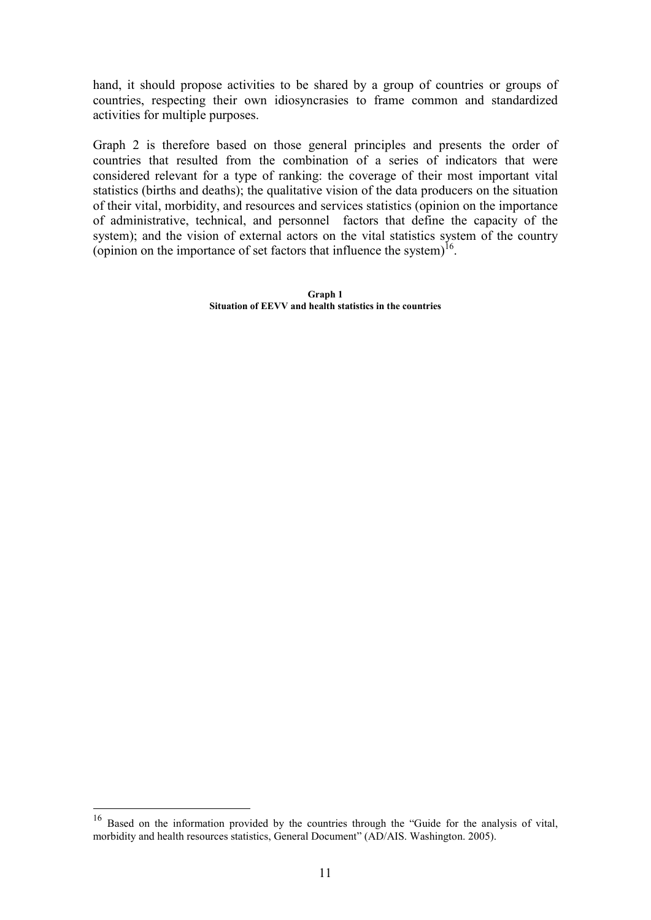hand, it should propose activities to be shared by a group of countries or groups of countries, respecting their own idiosyncrasies to frame common and standardized activities for multiple purposes.

Graph 2 is therefore based on those general principles and presents the order of countries that resulted from the combination of a series of indicators that were considered relevant for a type of ranking: the coverage of their most important vital statistics (births and deaths); the qualitative vision of the data producers on the situation of their vital, morbidity, and resources and services statistics (opinion on the importance of administrative, technical, and personnel factors that define the capacity of the system); and the vision of external actors on the vital statistics system of the country (opinion on the importance of set factors that influence the system) $<sup>16</sup>$ .</sup>

> **Graph 1 Situation of EEVV and health statistics in the countries**

-

<sup>&</sup>lt;sup>16</sup> Based on the information provided by the countries through the "Guide for the analysis of vital, morbidity and health resources statistics, General Document" (AD/AIS. Washington. 2005).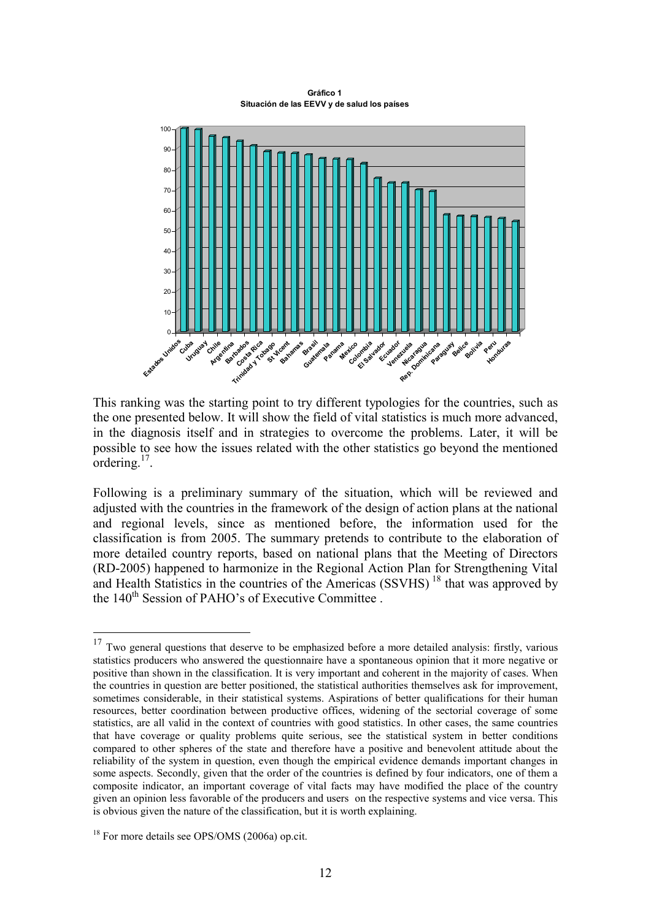**Gráfico 1 Situación de las EEVV y de salud los países**



This ranking was the starting point to try different typologies for the countries, such as the one presented below. It will show the field of vital statistics is much more advanced, in the diagnosis itself and in strategies to overcome the problems. Later, it will be possible to see how the issues related with the other statistics go beyond the mentioned ordering. $17$ .

Following is a preliminary summary of the situation, which will be reviewed and adjusted with the countries in the framework of the design of action plans at the national and regional levels, since as mentioned before, the information used for the classification is from 2005. The summary pretends to contribute to the elaboration of more detailed country reports, based on national plans that the Meeting of Directors (RD-2005) happened to harmonize in the Regional Action Plan for Strengthening Vital and Health Statistics in the countries of the Americas  $(SSVHS)<sup>18</sup>$  that was approved by the  $140^{th}$  Session of PAHO's of Executive Committee.

<u>.</u>

 $17$  Two general questions that deserve to be emphasized before a more detailed analysis: firstly, various statistics producers who answered the questionnaire have a spontaneous opinion that it more negative or positive than shown in the classification. It is very important and coherent in the majority of cases. When the countries in question are better positioned, the statistical authorities themselves ask for improvement, sometimes considerable, in their statistical systems. Aspirations of better qualifications for their human resources, better coordination between productive offices, widening of the sectorial coverage of some statistics, are all valid in the context of countries with good statistics. In other cases, the same countries that have coverage or quality problems quite serious, see the statistical system in better conditions compared to other spheres of the state and therefore have a positive and benevolent attitude about the reliability of the system in question, even though the empirical evidence demands important changes in some aspects. Secondly, given that the order of the countries is defined by four indicators, one of them a composite indicator, an important coverage of vital facts may have modified the place of the country given an opinion less favorable of the producers and users on the respective systems and vice versa. This is obvious given the nature of the classification, but it is worth explaining.

<sup>&</sup>lt;sup>18</sup> For more details see OPS/OMS (2006a) op.cit.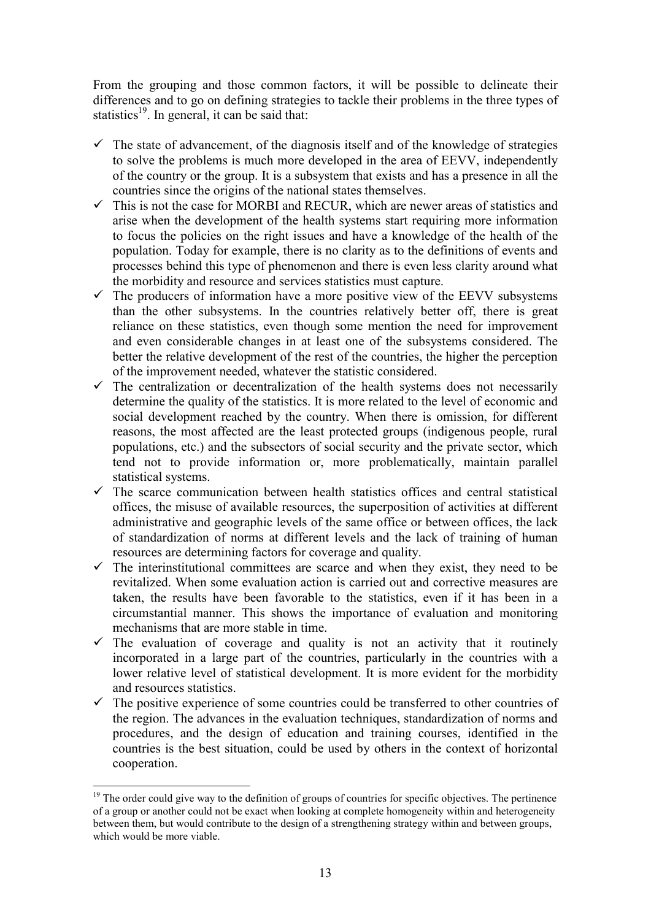From the grouping and those common factors, it will be possible to delineate their differences and to go on defining strategies to tackle their problems in the three types of statistics<sup>19</sup>. In general, it can be said that:

- $\checkmark$  The state of advancement, of the diagnosis itself and of the knowledge of strategies to solve the problems is much more developed in the area of EEVV, independently of the country or the group. It is a subsystem that exists and has a presence in all the countries since the origins of the national states themselves.
- $\checkmark$  This is not the case for MORBI and RECUR, which are newer areas of statistics and arise when the development of the health systems start requiring more information to focus the policies on the right issues and have a knowledge of the health of the population. Today for example, there is no clarity as to the definitions of events and processes behind this type of phenomenon and there is even less clarity around what the morbidity and resource and services statistics must capture.
- $\checkmark$  The producers of information have a more positive view of the EEVV subsystems than the other subsystems. In the countries relatively better off, there is great reliance on these statistics, even though some mention the need for improvement and even considerable changes in at least one of the subsystems considered. The better the relative development of the rest of the countries, the higher the perception of the improvement needed, whatever the statistic considered.
- $\checkmark$  The centralization or decentralization of the health systems does not necessarily determine the quality of the statistics. It is more related to the level of economic and social development reached by the country. When there is omission, for different reasons, the most affected are the least protected groups (indigenous people, rural populations, etc.) and the subsectors of social security and the private sector, which tend not to provide information or, more problematically, maintain parallel statistical systems.
- $\checkmark$  The scarce communication between health statistics offices and central statistical offices, the misuse of available resources, the superposition of activities at different administrative and geographic levels of the same office or between offices, the lack of standardization of norms at different levels and the lack of training of human resources are determining factors for coverage and quality.
- $\checkmark$  The interinstitutional committees are scarce and when they exist, they need to be revitalized. When some evaluation action is carried out and corrective measures are taken, the results have been favorable to the statistics, even if it has been in a circumstantial manner. This shows the importance of evaluation and monitoring mechanisms that are more stable in time.
- $\checkmark$  The evaluation of coverage and quality is not an activity that it routinely incorporated in a large part of the countries, particularly in the countries with a lower relative level of statistical development. It is more evident for the morbidity and resources statistics.
- The positive experience of some countries could be transferred to other countries of the region. The advances in the evaluation techniques, standardization of norms and procedures, and the design of education and training courses, identified in the countries is the best situation, could be used by others in the context of horizontal cooperation.

<sup>&</sup>lt;u>.</u>  $19$  The order could give way to the definition of groups of countries for specific objectives. The pertinence of a group or another could not be exact when looking at complete homogeneity within and heterogeneity between them, but would contribute to the design of a strengthening strategy within and between groups, which would be more viable.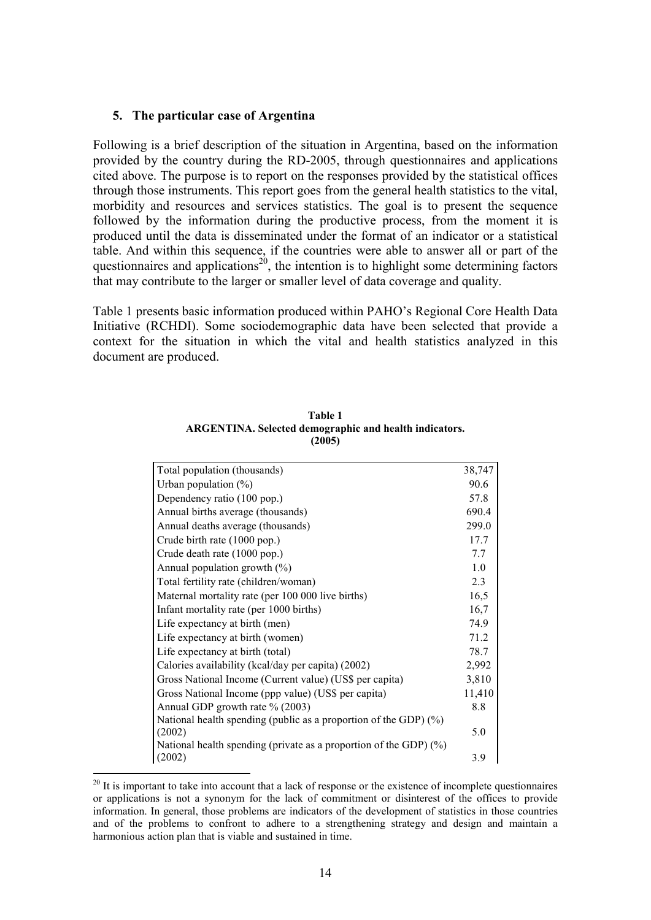## **5. The particular case of Argentina**

Following is a brief description of the situation in Argentina, based on the information provided by the country during the RD-2005, through questionnaires and applications cited above. The purpose is to report on the responses provided by the statistical offices through those instruments. This report goes from the general health statistics to the vital, morbidity and resources and services statistics. The goal is to present the sequence followed by the information during the productive process, from the moment it is produced until the data is disseminated under the format of an indicator or a statistical table. And within this sequence, if the countries were able to answer all or part of the questionnaires and applications<sup>20</sup>, the intention is to highlight some determining factors that may contribute to the larger or smaller level of data coverage and quality.

Table 1 presents basic information produced within PAHO's Regional Core Health Data Initiative (RCHDI). Some sociodemographic data have been selected that provide a context for the situation in which the vital and health statistics analyzed in this document are produced.

| Total population (thousands)                                         | 38,747 |
|----------------------------------------------------------------------|--------|
| Urban population $(\%)$                                              | 90.6   |
| Dependency ratio (100 pop.)                                          | 57.8   |
| Annual births average (thousands)                                    | 690.4  |
| Annual deaths average (thousands)                                    | 299.0  |
| Crude birth rate (1000 pop.)                                         | 17.7   |
| Crude death rate (1000 pop.)                                         | 7.7    |
| Annual population growth $(\%)$                                      | 1.0    |
| Total fertility rate (children/woman)                                | 2.3    |
| Maternal mortality rate (per 100 000 live births)                    | 16,5   |
| Infant mortality rate (per 1000 births)                              | 16,7   |
| Life expectancy at birth (men)                                       | 74.9   |
| Life expectancy at birth (women)                                     | 71.2   |
| Life expectancy at birth (total)                                     | 78.7   |
| Calories availability (kcal/day per capita) (2002)                   | 2,992  |
| Gross National Income (Current value) (US\$ per capita)              | 3,810  |
| Gross National Income (ppp value) (US\$ per capita)                  | 11,410 |
| Annual GDP growth rate % (2003)                                      | 8.8    |
| National health spending (public as a proportion of the GDP) $(\%)$  |        |
| (2002)                                                               | 5.0    |
| National health spending (private as a proportion of the GDP) $(\%)$ |        |
| (2002)                                                               | 3.9    |

| Table 1                                                |
|--------------------------------------------------------|
| ARGENTINA. Selected demographic and health indicators. |
| (2005)                                                 |

-

<sup>&</sup>lt;sup>20</sup> It is important to take into account that a lack of response or the existence of incomplete questionnaires or applications is not a synonym for the lack of commitment or disinterest of the offices to provide information. In general, those problems are indicators of the development of statistics in those countries and of the problems to confront to adhere to a strengthening strategy and design and maintain a harmonious action plan that is viable and sustained in time.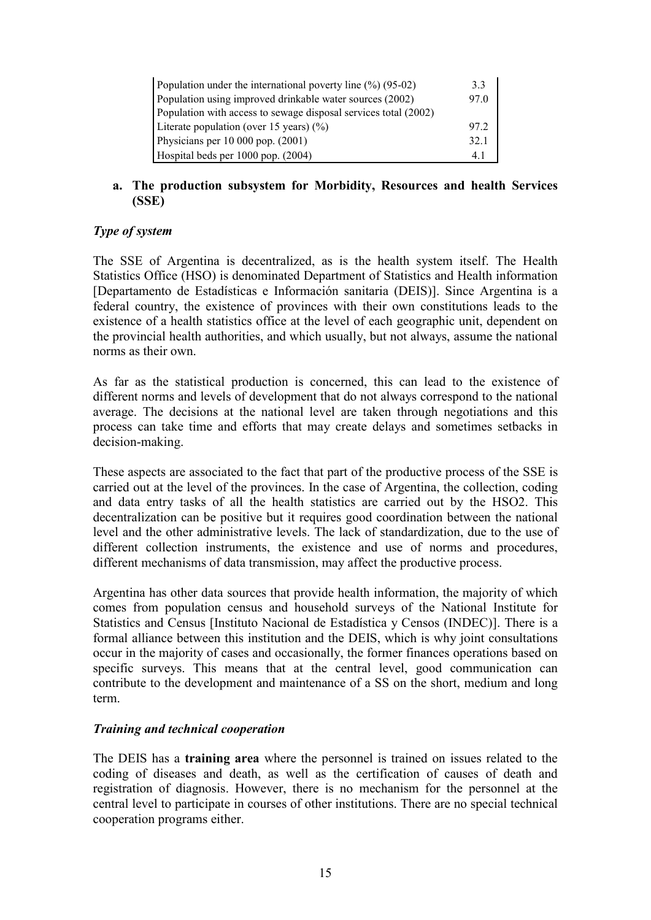| Population under the international poverty line $(\%)(95-02)$   | 33   |
|-----------------------------------------------------------------|------|
| Population using improved drinkable water sources (2002)        | 97.0 |
| Population with access to sewage disposal services total (2002) |      |
| Literate population (over 15 years) $(\%)$                      | 97 2 |
| Physicians per $10000$ pop. $(2001)$                            | 32.1 |
| Hospital beds per 1000 pop. (2004)                              | 4.1  |

# **a. The production subsystem for Morbidity, Resources and health Services (SSE)**

# *Type of system*

The SSE of Argentina is decentralized, as is the health system itself. The Health Statistics Office (HSO) is denominated Department of Statistics and Health information [Departamento de Estadísticas e Información sanitaria (DEIS)]. Since Argentina is a federal country, the existence of provinces with their own constitutions leads to the existence of a health statistics office at the level of each geographic unit, dependent on the provincial health authorities, and which usually, but not always, assume the national norms as their own.

As far as the statistical production is concerned, this can lead to the existence of different norms and levels of development that do not always correspond to the national average. The decisions at the national level are taken through negotiations and this process can take time and efforts that may create delays and sometimes setbacks in decision-making.

These aspects are associated to the fact that part of the productive process of the SSE is carried out at the level of the provinces. In the case of Argentina, the collection, coding and data entry tasks of all the health statistics are carried out by the HSO2. This decentralization can be positive but it requires good coordination between the national level and the other administrative levels. The lack of standardization, due to the use of different collection instruments, the existence and use of norms and procedures, different mechanisms of data transmission, may affect the productive process.

Argentina has other data sources that provide health information, the majority of which comes from population census and household surveys of the National Institute for Statistics and Census [Instituto Nacional de Estadística y Censos (INDEC)]. There is a formal alliance between this institution and the DEIS, which is why joint consultations occur in the majority of cases and occasionally, the former finances operations based on specific surveys. This means that at the central level, good communication can contribute to the development and maintenance of a SS on the short, medium and long term.

# *Training and technical cooperation*

The DEIS has a **training area** where the personnel is trained on issues related to the coding of diseases and death, as well as the certification of causes of death and registration of diagnosis. However, there is no mechanism for the personnel at the central level to participate in courses of other institutions. There are no special technical cooperation programs either.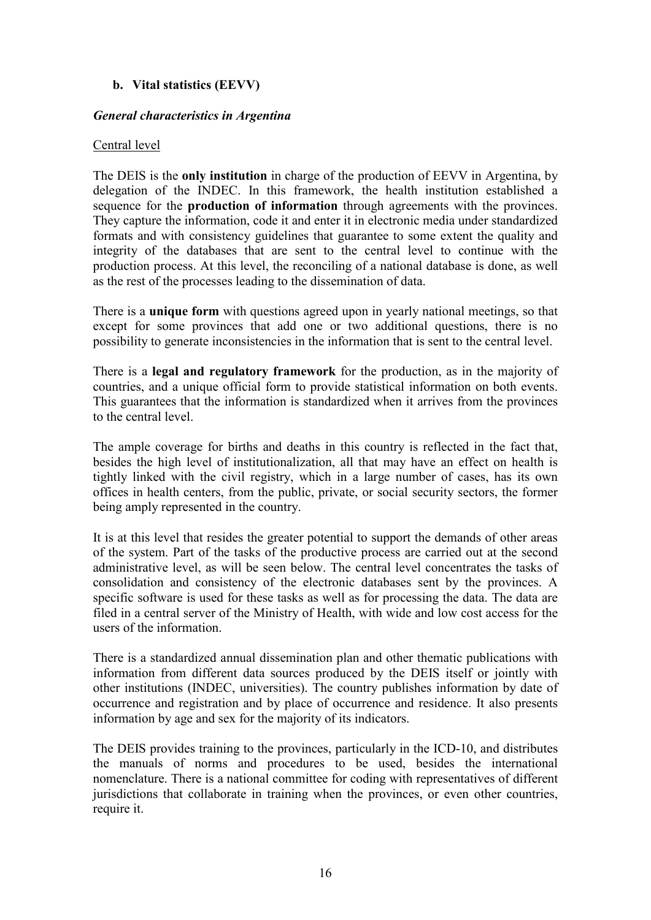# **b. Vital statistics (EEVV)**

## *General characteristics in Argentina*

## Central level

The DEIS is the **only institution** in charge of the production of EEVV in Argentina, by delegation of the INDEC. In this framework, the health institution established a sequence for the **production of information** through agreements with the provinces. They capture the information, code it and enter it in electronic media under standardized formats and with consistency guidelines that guarantee to some extent the quality and integrity of the databases that are sent to the central level to continue with the production process. At this level, the reconciling of a national database is done, as well as the rest of the processes leading to the dissemination of data.

There is a **unique form** with questions agreed upon in yearly national meetings, so that except for some provinces that add one or two additional questions, there is no possibility to generate inconsistencies in the information that is sent to the central level.

There is a **legal and regulatory framework** for the production, as in the majority of countries, and a unique official form to provide statistical information on both events. This guarantees that the information is standardized when it arrives from the provinces to the central level.

The ample coverage for births and deaths in this country is reflected in the fact that, besides the high level of institutionalization, all that may have an effect on health is tightly linked with the civil registry, which in a large number of cases, has its own offices in health centers, from the public, private, or social security sectors, the former being amply represented in the country.

It is at this level that resides the greater potential to support the demands of other areas of the system. Part of the tasks of the productive process are carried out at the second administrative level, as will be seen below. The central level concentrates the tasks of consolidation and consistency of the electronic databases sent by the provinces. A specific software is used for these tasks as well as for processing the data. The data are filed in a central server of the Ministry of Health, with wide and low cost access for the users of the information.

There is a standardized annual dissemination plan and other thematic publications with information from different data sources produced by the DEIS itself or jointly with other institutions (INDEC, universities). The country publishes information by date of occurrence and registration and by place of occurrence and residence. It also presents information by age and sex for the majority of its indicators.

The DEIS provides training to the provinces, particularly in the ICD-10, and distributes the manuals of norms and procedures to be used, besides the international nomenclature. There is a national committee for coding with representatives of different jurisdictions that collaborate in training when the provinces, or even other countries, require it.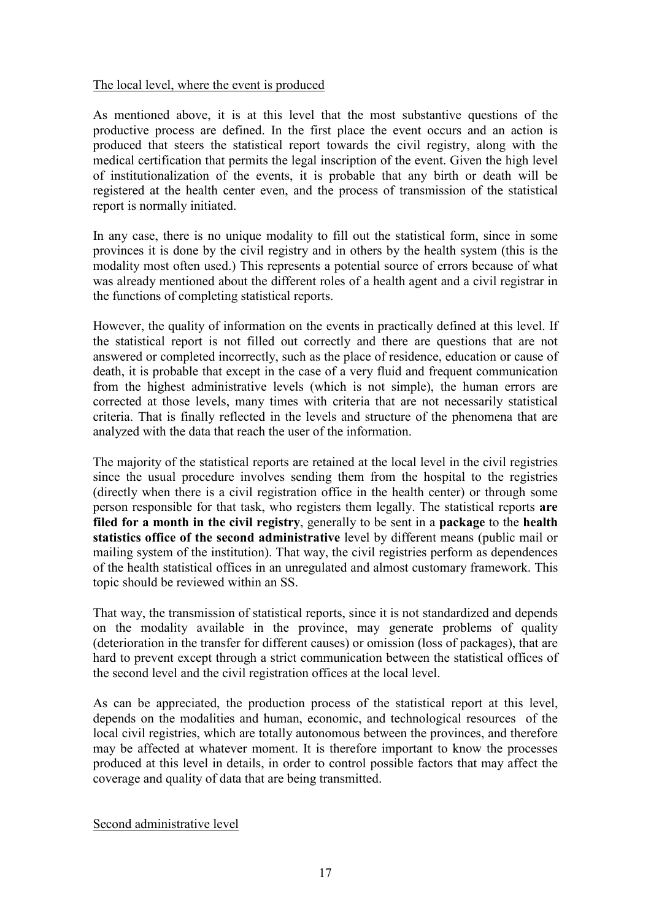## The local level, where the event is produced

As mentioned above, it is at this level that the most substantive questions of the productive process are defined. In the first place the event occurs and an action is produced that steers the statistical report towards the civil registry, along with the medical certification that permits the legal inscription of the event. Given the high level of institutionalization of the events, it is probable that any birth or death will be registered at the health center even, and the process of transmission of the statistical report is normally initiated.

In any case, there is no unique modality to fill out the statistical form, since in some provinces it is done by the civil registry and in others by the health system (this is the modality most often used.) This represents a potential source of errors because of what was already mentioned about the different roles of a health agent and a civil registrar in the functions of completing statistical reports.

However, the quality of information on the events in practically defined at this level. If the statistical report is not filled out correctly and there are questions that are not answered or completed incorrectly, such as the place of residence, education or cause of death, it is probable that except in the case of a very fluid and frequent communication from the highest administrative levels (which is not simple), the human errors are corrected at those levels, many times with criteria that are not necessarily statistical criteria. That is finally reflected in the levels and structure of the phenomena that are analyzed with the data that reach the user of the information.

The majority of the statistical reports are retained at the local level in the civil registries since the usual procedure involves sending them from the hospital to the registries (directly when there is a civil registration office in the health center) or through some person responsible for that task, who registers them legally. The statistical reports **are filed for a month in the civil registry**, generally to be sent in a **package** to the **health statistics office of the second administrative** level by different means (public mail or mailing system of the institution). That way, the civil registries perform as dependences of the health statistical offices in an unregulated and almost customary framework. This topic should be reviewed within an SS.

That way, the transmission of statistical reports, since it is not standardized and depends on the modality available in the province, may generate problems of quality (deterioration in the transfer for different causes) or omission (loss of packages), that are hard to prevent except through a strict communication between the statistical offices of the second level and the civil registration offices at the local level.

As can be appreciated, the production process of the statistical report at this level, depends on the modalities and human, economic, and technological resources of the local civil registries, which are totally autonomous between the provinces, and therefore may be affected at whatever moment. It is therefore important to know the processes produced at this level in details, in order to control possible factors that may affect the coverage and quality of data that are being transmitted.

Second administrative level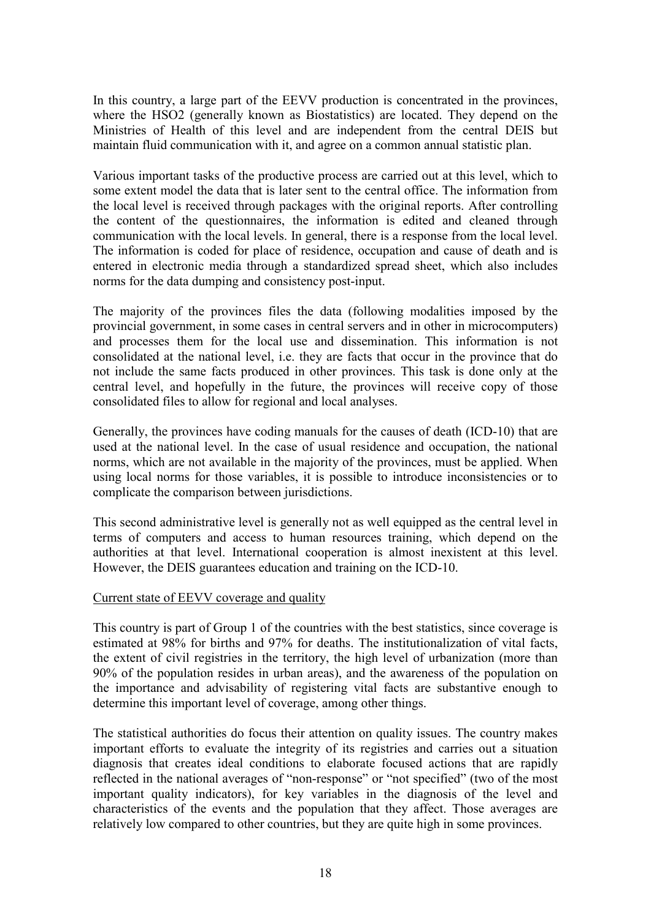In this country, a large part of the EEVV production is concentrated in the provinces, where the HSO2 (generally known as Biostatistics) are located. They depend on the Ministries of Health of this level and are independent from the central DEIS but maintain fluid communication with it, and agree on a common annual statistic plan.

Various important tasks of the productive process are carried out at this level, which to some extent model the data that is later sent to the central office. The information from the local level is received through packages with the original reports. After controlling the content of the questionnaires, the information is edited and cleaned through communication with the local levels. In general, there is a response from the local level. The information is coded for place of residence, occupation and cause of death and is entered in electronic media through a standardized spread sheet, which also includes norms for the data dumping and consistency post-input.

The majority of the provinces files the data (following modalities imposed by the provincial government, in some cases in central servers and in other in microcomputers) and processes them for the local use and dissemination. This information is not consolidated at the national level, i.e. they are facts that occur in the province that do not include the same facts produced in other provinces. This task is done only at the central level, and hopefully in the future, the provinces will receive copy of those consolidated files to allow for regional and local analyses.

Generally, the provinces have coding manuals for the causes of death (ICD-10) that are used at the national level. In the case of usual residence and occupation, the national norms, which are not available in the majority of the provinces, must be applied. When using local norms for those variables, it is possible to introduce inconsistencies or to complicate the comparison between jurisdictions.

This second administrative level is generally not as well equipped as the central level in terms of computers and access to human resources training, which depend on the authorities at that level. International cooperation is almost inexistent at this level. However, the DEIS guarantees education and training on the ICD-10.

## Current state of EEVV coverage and quality

This country is part of Group 1 of the countries with the best statistics, since coverage is estimated at 98% for births and 97% for deaths. The institutionalization of vital facts, the extent of civil registries in the territory, the high level of urbanization (more than 90% of the population resides in urban areas), and the awareness of the population on the importance and advisability of registering vital facts are substantive enough to determine this important level of coverage, among other things.

The statistical authorities do focus their attention on quality issues. The country makes important efforts to evaluate the integrity of its registries and carries out a situation diagnosis that creates ideal conditions to elaborate focused actions that are rapidly reflected in the national averages of "non-response" or "not specified" (two of the most important quality indicators), for key variables in the diagnosis of the level and characteristics of the events and the population that they affect. Those averages are relatively low compared to other countries, but they are quite high in some provinces.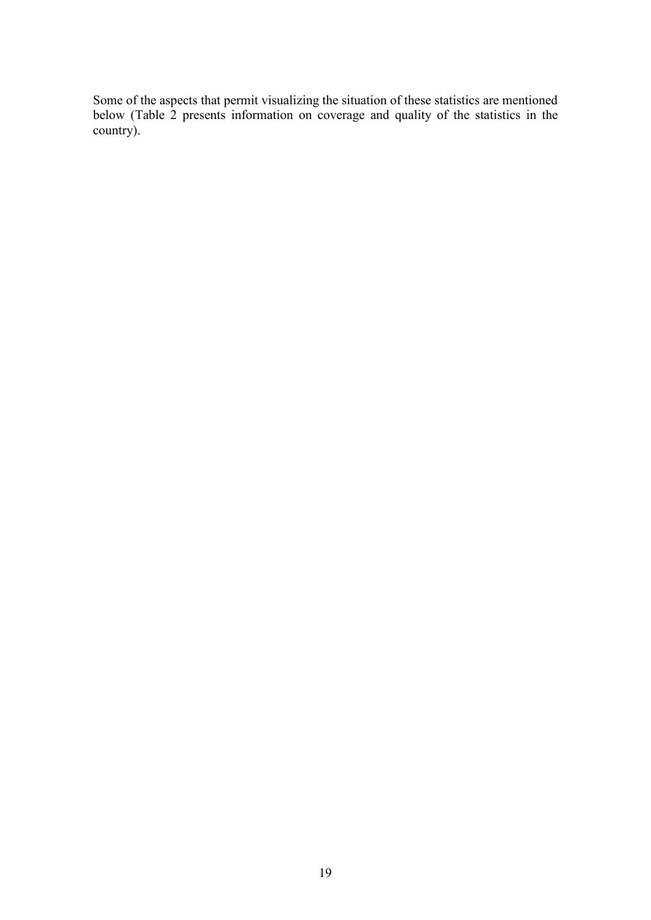Some of the aspects that permit visualizing the situation of these statistics are mentioned below (Table 2 presents information on coverage and quality of the statistics in the country).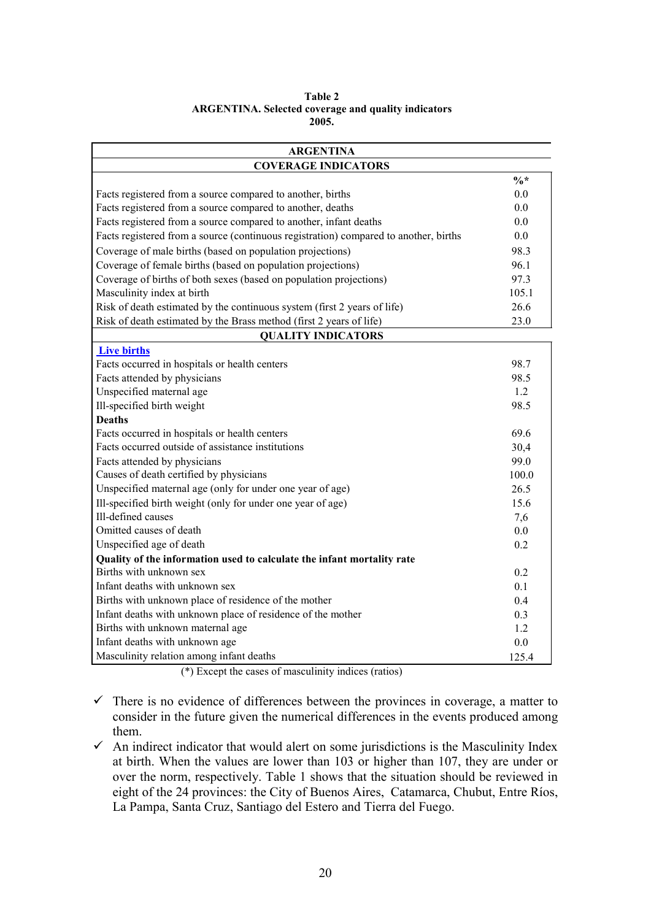|                                                            | Table 2 |  |
|------------------------------------------------------------|---------|--|
| <b>ARGENTINA.</b> Selected coverage and quality indicators |         |  |
|                                                            | 2005.   |  |

| <b>ARGENTINA</b>                                                                     |                 |  |  |
|--------------------------------------------------------------------------------------|-----------------|--|--|
| <b>COVERAGE INDICATORS</b>                                                           |                 |  |  |
|                                                                                      | $\frac{0}{6}$ * |  |  |
| Facts registered from a source compared to another, births                           | 0.0             |  |  |
| Facts registered from a source compared to another, deaths                           | 0.0             |  |  |
| Facts registered from a source compared to another, infant deaths                    | 0.0             |  |  |
| Facts registered from a source (continuous registration) compared to another, births | 0.0             |  |  |
| Coverage of male births (based on population projections)                            | 98.3            |  |  |
| Coverage of female births (based on population projections)                          | 96.1            |  |  |
| Coverage of births of both sexes (based on population projections)                   | 97.3            |  |  |
| Masculinity index at birth                                                           | 105.1           |  |  |
| Risk of death estimated by the continuous system (first 2 years of life)             | 26.6            |  |  |
| Risk of death estimated by the Brass method (first 2 years of life)                  | 23.0            |  |  |
| <b>QUALITY INDICATORS</b>                                                            |                 |  |  |
| <b>Live births</b>                                                                   |                 |  |  |
| Facts occurred in hospitals or health centers                                        | 98.7            |  |  |
| Facts attended by physicians                                                         | 98.5            |  |  |
| Unspecified maternal age                                                             | 1.2             |  |  |
| Ill-specified birth weight                                                           | 98.5            |  |  |
| <b>Deaths</b>                                                                        |                 |  |  |
| Facts occurred in hospitals or health centers                                        | 69.6            |  |  |
| Facts occurred outside of assistance institutions                                    | 30,4            |  |  |
| Facts attended by physicians                                                         | 99.0            |  |  |
| Causes of death certified by physicians                                              | 100.0           |  |  |
| Unspecified maternal age (only for under one year of age)                            | 26.5            |  |  |
| Ill-specified birth weight (only for under one year of age)                          | 15.6            |  |  |
| Ill-defined causes                                                                   | 7,6             |  |  |
| Omitted causes of death                                                              | 0.0             |  |  |
| Unspecified age of death                                                             | 0.2             |  |  |
| Quality of the information used to calculate the infant mortality rate               |                 |  |  |
| Births with unknown sex                                                              | 0.2             |  |  |
| Infant deaths with unknown sex                                                       | 0.1             |  |  |
| Births with unknown place of residence of the mother                                 | 0.4             |  |  |
| Infant deaths with unknown place of residence of the mother                          | 0.3             |  |  |
| Births with unknown maternal age                                                     | 1.2             |  |  |
| Infant deaths with unknown age                                                       | 0.0             |  |  |
| Masculinity relation among infant deaths                                             | 125.4           |  |  |

(\*) Except the cases of masculinity indices (ratios)

- $\checkmark$  There is no evidence of differences between the provinces in coverage, a matter to consider in the future given the numerical differences in the events produced among them.
- $\checkmark$  An indirect indicator that would alert on some jurisdictions is the Masculinity Index at birth. When the values are lower than 103 or higher than 107, they are under or over the norm, respectively. Table 1 shows that the situation should be reviewed in eight of the 24 provinces: the City of Buenos Aires, Catamarca, Chubut, Entre Ríos, La Pampa, Santa Cruz, Santiago del Estero and Tierra del Fuego.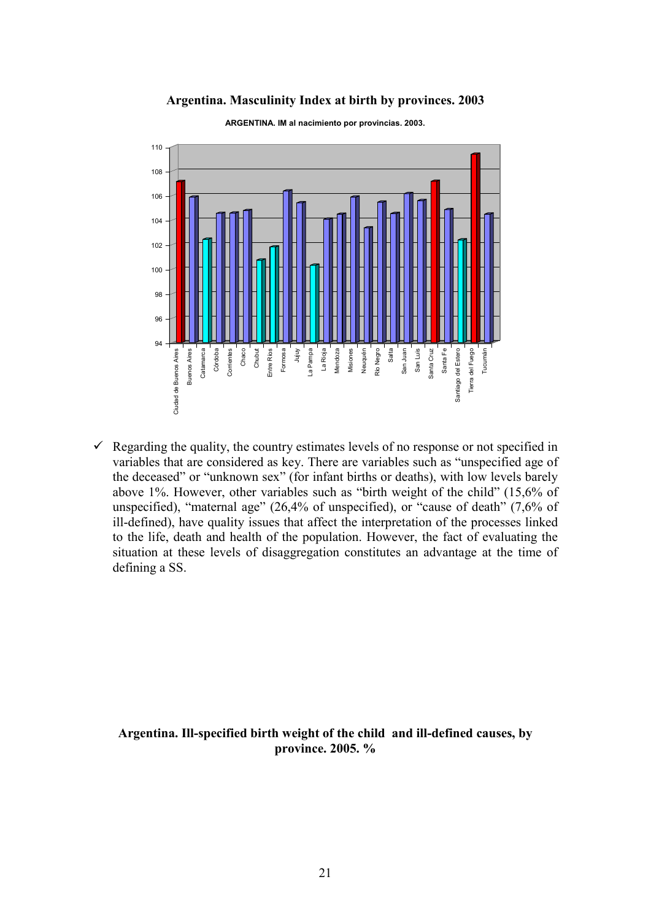### **Argentina. Masculinity Index at birth by provinces. 2003**



**ARGENTINA. IM al nacimiento por provincias. 2003.**

 $\checkmark$  Regarding the quality, the country estimates levels of no response or not specified in variables that are considered as key. There are variables such as "unspecified age of the deceased" or "unknown sex" (for infant births or deaths), with low levels barely above 1%. However, other variables such as "birth weight of the child" (15,6% of unspecified), "maternal age" (26,4% of unspecified), or "cause of death" (7,6% of ill-defined), have quality issues that affect the interpretation of the processes linked to the life, death and health of the population. However, the fact of evaluating the situation at these levels of disaggregation constitutes an advantage at the time of defining a SS.

## **Argentina. Ill-specified birth weight of the child and ill-defined causes, by province. 2005. %**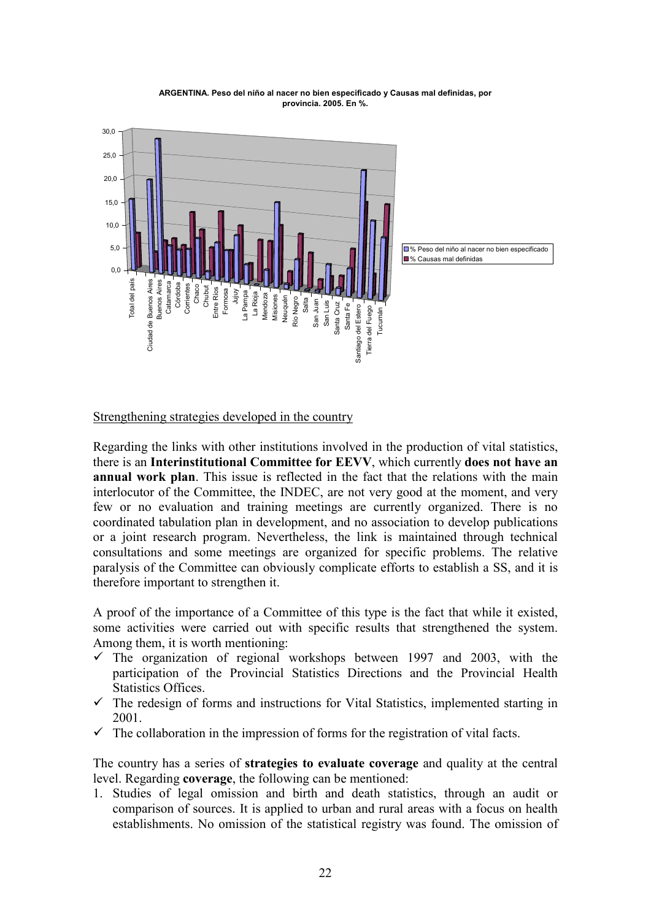

#### **ARGENTINA. Peso del niño al nacer no bien especificado y Causas mal definidas, por provincia. 2005. En %.**

## Strengthening strategies developed in the country

Regarding the links with other institutions involved in the production of vital statistics, there is an **Interinstitutional Committee for EEVV**, which currently **does not have an annual work plan**. This issue is reflected in the fact that the relations with the main interlocutor of the Committee, the INDEC, are not very good at the moment, and very few or no evaluation and training meetings are currently organized. There is no coordinated tabulation plan in development, and no association to develop publications or a joint research program. Nevertheless, the link is maintained through technical consultations and some meetings are organized for specific problems. The relative paralysis of the Committee can obviously complicate efforts to establish a SS, and it is therefore important to strengthen it.

A proof of the importance of a Committee of this type is the fact that while it existed, some activities were carried out with specific results that strengthened the system. Among them, it is worth mentioning:

- $\checkmark$  The organization of regional workshops between 1997 and 2003, with the participation of the Provincial Statistics Directions and the Provincial Health Statistics Offices.
- $\checkmark$  The redesign of forms and instructions for Vital Statistics, implemented starting in 2001.
- $\checkmark$  The collaboration in the impression of forms for the registration of vital facts.

The country has a series of **strategies to evaluate coverage** and quality at the central level. Regarding **coverage**, the following can be mentioned:

1. Studies of legal omission and birth and death statistics, through an audit or comparison of sources. It is applied to urban and rural areas with a focus on health establishments. No omission of the statistical registry was found. The omission of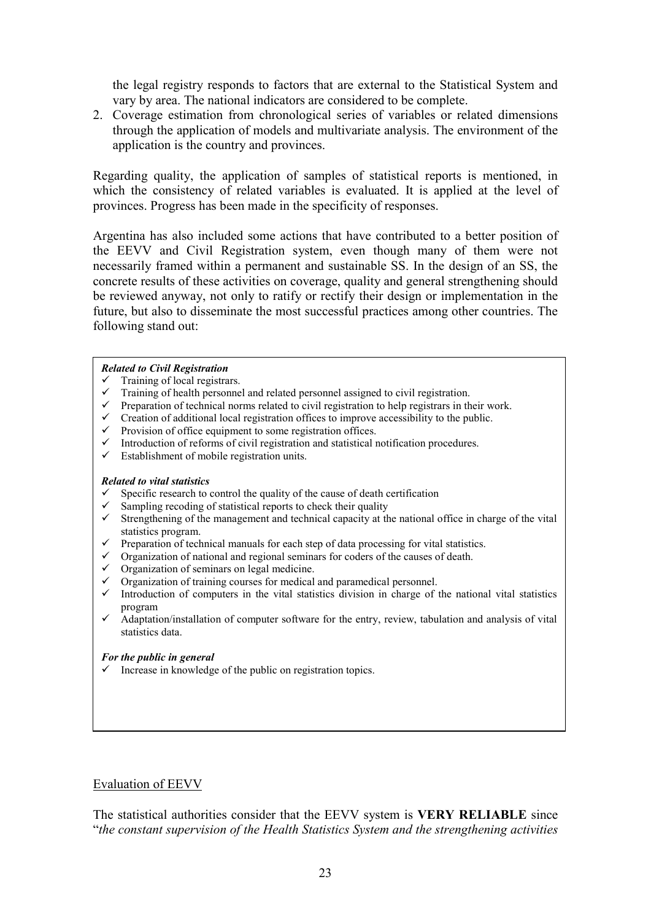the legal registry responds to factors that are external to the Statistical System and vary by area. The national indicators are considered to be complete.

2. Coverage estimation from chronological series of variables or related dimensions through the application of models and multivariate analysis. The environment of the application is the country and provinces.

Regarding quality, the application of samples of statistical reports is mentioned, in which the consistency of related variables is evaluated. It is applied at the level of provinces. Progress has been made in the specificity of responses.

Argentina has also included some actions that have contributed to a better position of the EEVV and Civil Registration system, even though many of them were not necessarily framed within a permanent and sustainable SS. In the design of an SS, the concrete results of these activities on coverage, quality and general strengthening should be reviewed anyway, not only to ratify or rectify their design or implementation in the future, but also to disseminate the most successful practices among other countries. The following stand out:

### *Related to Civil Registration*

- $\checkmark$  Training of local registrars.
- $\checkmark$  Training of health personnel and related personnel assigned to civil registration.
- $\checkmark$  Preparation of technical norms related to civil registration to help registrars in their work.
- $\checkmark$  Creation of additional local registration offices to improve accessibility to the public.
- $\checkmark$  Provision of office equipment to some registration offices.
- $\checkmark$  Introduction of reforms of civil registration and statistical notification procedures.
- $\checkmark$  Establishment of mobile registration units.

### *Related to vital statistics*

- $\checkmark$  Specific research to control the quality of the cause of death certification  $\checkmark$  Sampling recoding of statistical reports to check their quality
- Sampling recoding of statistical reports to check their quality
- $\checkmark$  Strengthening of the management and technical capacity at the national office in charge of the vital statistics program.
- $\checkmark$  Preparation of technical manuals for each step of data processing for vital statistics.
- $\checkmark$  Organization of national and regional seminars for coders of the causes of death.
- $\checkmark$  Organization of seminars on legal medicine.
- $\checkmark$  Organization of training courses for medical and paramedical personnel.
- $\checkmark$  Introduction of computers in the vital statistics division in charge of the national vital statistics program
- $\checkmark$  Adaptation/installation of computer software for the entry, review, tabulation and analysis of vital statistics data.

### *For the public in general*

 $\checkmark$  Increase in knowledge of the public on registration topics.

## Evaluation of EEVV

The statistical authorities consider that the EEVV system is **VERY RELIABLE** since "*the constant supervision of the Health Statistics System and the strengthening activities*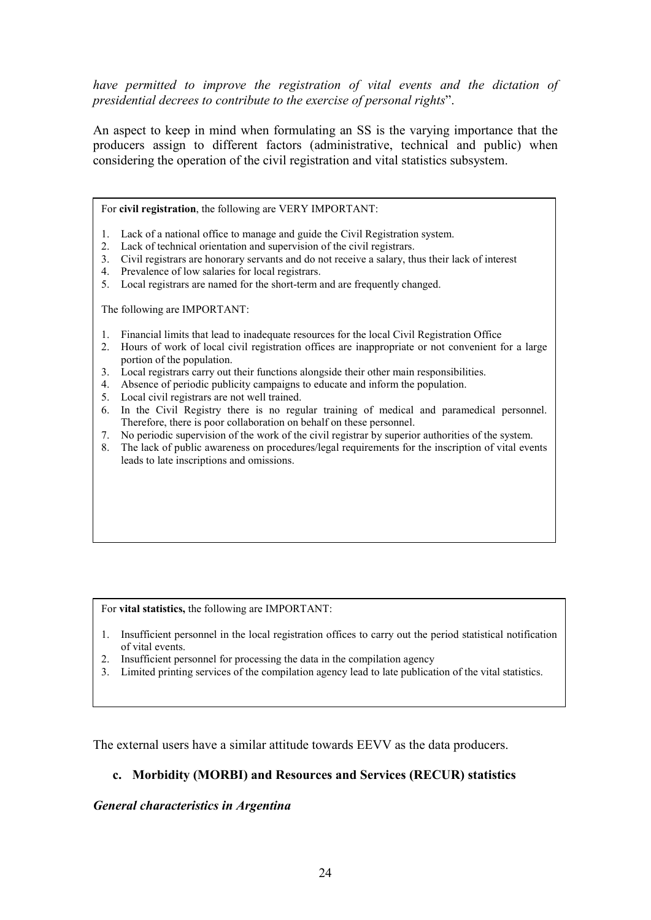*have permitted to improve the registration of vital events and the dictation of presidential decrees to contribute to the exercise of personal rights*".

An aspect to keep in mind when formulating an SS is the varying importance that the producers assign to different factors (administrative, technical and public) when considering the operation of the civil registration and vital statistics subsystem.

For **civil registration**, the following are VERY IMPORTANT:

- 1. Lack of a national office to manage and guide the Civil Registration system.
- 2. Lack of technical orientation and supervision of the civil registrars.
- 3. Civil registrars are honorary servants and do not receive a salary, thus their lack of interest
- 4. Prevalence of low salaries for local registrars.
- 5. Local registrars are named for the short-term and are frequently changed.

The following are IMPORTANT:

- 1. Financial limits that lead to inadequate resources for the local Civil Registration Office
- 2. Hours of work of local civil registration offices are inappropriate or not convenient for a large portion of the population.
- 3. Local registrars carry out their functions alongside their other main responsibilities.
- 4. Absence of periodic publicity campaigns to educate and inform the population.
- 5. Local civil registrars are not well trained.
- 6. In the Civil Registry there is no regular training of medical and paramedical personnel. Therefore, there is poor collaboration on behalf on these personnel.
- 7. No periodic supervision of the work of the civil registrar by superior authorities of the system.
- 8. The lack of public awareness on procedures/legal requirements for the inscription of vital events leads to late inscriptions and omissions.

For **vital statistics,** the following are IMPORTANT:

- 1. Insufficient personnel in the local registration offices to carry out the period statistical notification of vital events.
- 2. Insufficient personnel for processing the data in the compilation agency
- 3. Limited printing services of the compilation agency lead to late publication of the vital statistics.

The external users have a similar attitude towards EEVV as the data producers.

## **c. Morbidity (MORBI) and Resources and Services (RECUR) statistics**

## *General characteristics in Argentina*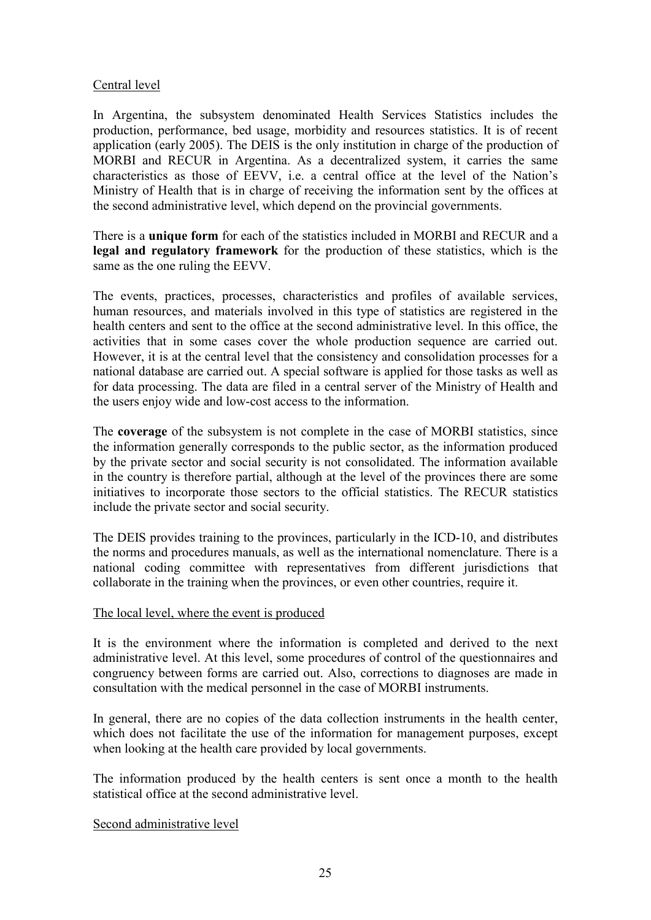# Central level

In Argentina, the subsystem denominated Health Services Statistics includes the production, performance, bed usage, morbidity and resources statistics. It is of recent application (early 2005). The DEIS is the only institution in charge of the production of MORBI and RECUR in Argentina. As a decentralized system, it carries the same characteristics as those of EEVV, i.e. a central office at the level of the Nation's Ministry of Health that is in charge of receiving the information sent by the offices at the second administrative level, which depend on the provincial governments.

There is a **unique form** for each of the statistics included in MORBI and RECUR and a **legal and regulatory framework** for the production of these statistics, which is the same as the one ruling the EEVV.

The events, practices, processes, characteristics and profiles of available services, human resources, and materials involved in this type of statistics are registered in the health centers and sent to the office at the second administrative level. In this office, the activities that in some cases cover the whole production sequence are carried out. However, it is at the central level that the consistency and consolidation processes for a national database are carried out. A special software is applied for those tasks as well as for data processing. The data are filed in a central server of the Ministry of Health and the users enjoy wide and low-cost access to the information.

The **coverage** of the subsystem is not complete in the case of MORBI statistics, since the information generally corresponds to the public sector, as the information produced by the private sector and social security is not consolidated. The information available in the country is therefore partial, although at the level of the provinces there are some initiatives to incorporate those sectors to the official statistics. The RECUR statistics include the private sector and social security.

The DEIS provides training to the provinces, particularly in the ICD-10, and distributes the norms and procedures manuals, as well as the international nomenclature. There is a national coding committee with representatives from different jurisdictions that collaborate in the training when the provinces, or even other countries, require it.

## The local level, where the event is produced

It is the environment where the information is completed and derived to the next administrative level. At this level, some procedures of control of the questionnaires and congruency between forms are carried out. Also, corrections to diagnoses are made in consultation with the medical personnel in the case of MORBI instruments.

In general, there are no copies of the data collection instruments in the health center, which does not facilitate the use of the information for management purposes, except when looking at the health care provided by local governments.

The information produced by the health centers is sent once a month to the health statistical office at the second administrative level.

## Second administrative level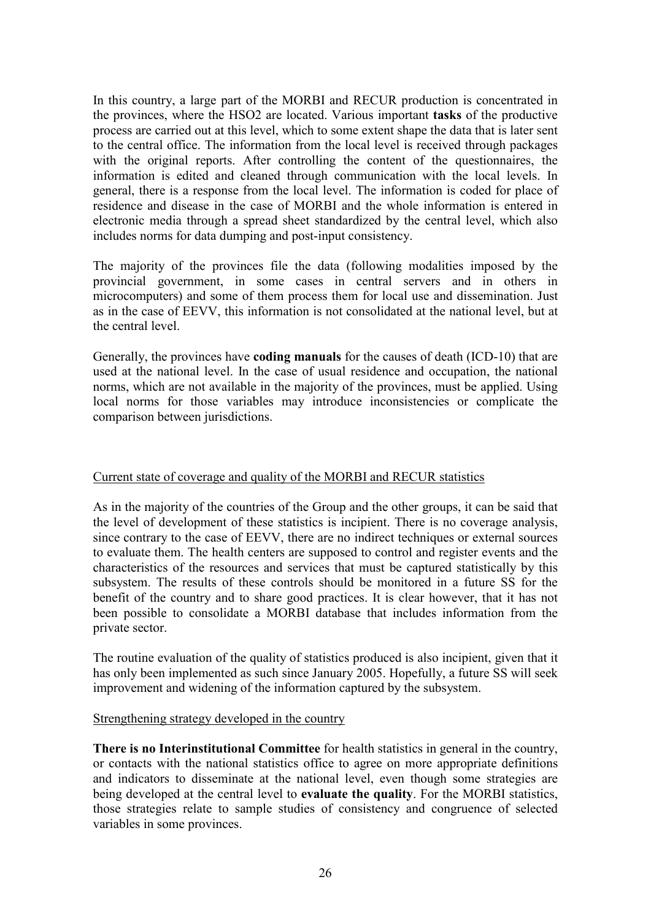In this country, a large part of the MORBI and RECUR production is concentrated in the provinces, where the HSO2 are located. Various important **tasks** of the productive process are carried out at this level, which to some extent shape the data that is later sent to the central office. The information from the local level is received through packages with the original reports. After controlling the content of the questionnaires, the information is edited and cleaned through communication with the local levels. In general, there is a response from the local level. The information is coded for place of residence and disease in the case of MORBI and the whole information is entered in electronic media through a spread sheet standardized by the central level, which also includes norms for data dumping and post-input consistency.

The majority of the provinces file the data (following modalities imposed by the provincial government, in some cases in central servers and in others in microcomputers) and some of them process them for local use and dissemination. Just as in the case of EEVV, this information is not consolidated at the national level, but at the central level.

Generally, the provinces have **coding manuals** for the causes of death (ICD-10) that are used at the national level. In the case of usual residence and occupation, the national norms, which are not available in the majority of the provinces, must be applied. Using local norms for those variables may introduce inconsistencies or complicate the comparison between jurisdictions.

# Current state of coverage and quality of the MORBI and RECUR statistics

As in the majority of the countries of the Group and the other groups, it can be said that the level of development of these statistics is incipient. There is no coverage analysis, since contrary to the case of EEVV, there are no indirect techniques or external sources to evaluate them. The health centers are supposed to control and register events and the characteristics of the resources and services that must be captured statistically by this subsystem. The results of these controls should be monitored in a future SS for the benefit of the country and to share good practices. It is clear however, that it has not been possible to consolidate a MORBI database that includes information from the private sector.

The routine evaluation of the quality of statistics produced is also incipient, given that it has only been implemented as such since January 2005. Hopefully, a future SS will seek improvement and widening of the information captured by the subsystem.

## Strengthening strategy developed in the country

**There is no Interinstitutional Committee** for health statistics in general in the country, or contacts with the national statistics office to agree on more appropriate definitions and indicators to disseminate at the national level, even though some strategies are being developed at the central level to **evaluate the quality**. For the MORBI statistics, those strategies relate to sample studies of consistency and congruence of selected variables in some provinces.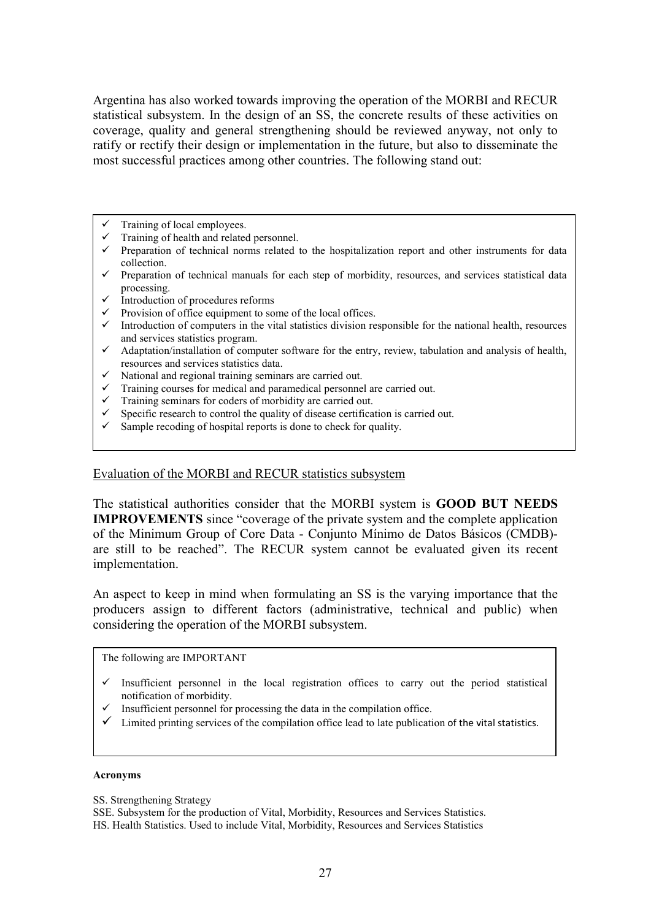Argentina has also worked towards improving the operation of the MORBI and RECUR statistical subsystem. In the design of an SS, the concrete results of these activities on coverage, quality and general strengthening should be reviewed anyway, not only to ratify or rectify their design or implementation in the future, but also to disseminate the most successful practices among other countries. The following stand out:

- Training of local employees.
- $\checkmark$  Training of health and related personnel.<br> $\checkmark$  Preparation of technical porms related to
- Preparation of technical norms related to the hospitalization report and other instruments for data collection.
- $\checkmark$  Preparation of technical manuals for each step of morbidity, resources, and services statistical data processing.
- $\checkmark$  Introduction of procedures reforms
- Provision of office equipment to some of the local offices.
- Introduction of computers in the vital statistics division responsible for the national health, resources and services statistics program.
- $\checkmark$  Adaptation/installation of computer software for the entry, review, tabulation and analysis of health, resources and services statistics data.
- National and regional training seminars are carried out.
- $\checkmark$  Training courses for medical and paramedical personnel are carried out.
- $\checkmark$  Training seminars for coders of morbidity are carried out.<br> $\checkmark$  Specific research to control the quality of disease certifica
- $\checkmark$  Specific research to control the quality of disease certification is carried out.<br> $\checkmark$  Sample recoding of hospital reports is done to check for quality.
- Sample recoding of hospital reports is done to check for quality.

### Evaluation of the MORBI and RECUR statistics subsystem

The statistical authorities consider that the MORBI system is **GOOD BUT NEEDS IMPROVEMENTS** since "coverage of the private system and the complete application of the Minimum Group of Core Data - Conjunto Mínimo de Datos Básicos (CMDB) are still to be reached". The RECUR system cannot be evaluated given its recent implementation.

An aspect to keep in mind when formulating an SS is the varying importance that the producers assign to different factors (administrative, technical and public) when considering the operation of the MORBI subsystem.

The following are IMPORTANT

- Insufficient personnel in the local registration offices to carry out the period statistical notification of morbidity.
- Insufficient personnel for processing the data in the compilation office.
- $\checkmark$  Limited printing services of the compilation office lead to late publication of the vital statistics.

 $\overline{\phantom{a}}$ 

### **Acronyms**

SS. Strengthening Strategy

SSE. Subsystem for the production of Vital, Morbidity, Resources and Services Statistics. HS. Health Statistics. Used to include Vital, Morbidity, Resources and Services Statistics